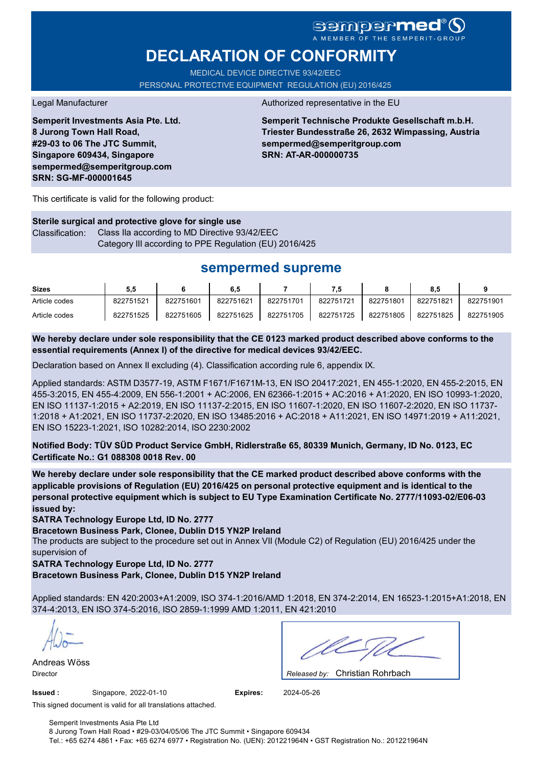# **DECLARATION OF CONFORMITY**

MEDICAL DEVICE DIRECTIVE 93/42/EEC PERSONAL PROTECTIVE EQUIPMENT REGULATION (EU) 2016/425

**Semperit Investments Asia Pte. Ltd. 8 Jurong Town Hall Road, #29-03 to 06 The JTC Summit, Singapore 609434, Singapore sempermed@semperitgroup.com SRN: SG-MF-000001645**

#### Legal Manufacturer Authorized representative in the EU

**Semperit Technische Produkte Gesellschaft m.b.H. Triester Bundesstraße 26, 2632 Wimpassing, Austria sempermed@semperitgroup.com SRN: AT-AR-000000735**

This certificate is valid for the following product:

**Sterile surgical and protective glove for single use** Classification: Class IIa according to MD Directive 93/42/EEC Category III according to PPE Regulation (EU) 2016/425

# **sempermed supreme**

| <b>Sizes</b>  | 5.5       |           | 6.5       |           | 7.5       |           | 8,5       |           |
|---------------|-----------|-----------|-----------|-----------|-----------|-----------|-----------|-----------|
| Article codes | 822751521 | 822751601 | 822751621 | 822751701 | 822751721 | 822751801 | 822751821 | 822751901 |
| Article codes | 822751525 | 822751605 | 822751625 | 822751705 | 822751725 | 822751805 | 822751825 | 822751905 |

**We hereby declare under sole responsibility that the CE 0123 marked product described above conforms to the essential requirements (Annex I) of the directive for medical devices 93/42/EEC.**

Declaration based on Annex II excluding (4). Classification according rule 6, appendix IX.

Applied standards: ASTM D3577-19, ASTM F1671/F1671M-13, EN ISO 20417:2021, EN 455-1:2020, EN 455-2:2015, EN 455-3:2015, EN 455-4:2009, EN 556-1:2001 + AC:2006, EN 62366-1:2015 + AC:2016 + A1:2020, EN ISO 10993-1:2020, EN ISO 11137-1:2015 + A2:2019, EN ISO 11137-2:2015, EN ISO 11607-1:2020, EN ISO 11607-2:2020, EN ISO 11737- 1:2018 + A1:2021, EN ISO 11737-2:2020, EN ISO 13485:2016 + AC:2018 + A11:2021, EN ISO 14971:2019 + A11:2021, EN ISO 15223-1:2021, ISO 10282:2014, ISO 2230:2002

**Notified Body: TÜV SÜD Product Service GmbH, Ridlerstraße 65, 80339 Munich, Germany, ID No. 0123, EC Certificate No.: G1 088308 0018 Rev. 00** 

**We hereby declare under sole responsibility that the CE marked product described above conforms with the applicable provisions of Regulation (EU) 2016/425 on personal protective equipment and is identical to the personal protective equipment which is subject to EU Type Examination Certificate No. 2777/11093-02/E06-03 issued by:**

**SATRA Technology Europe Ltd, ID No. 2777**

**Bracetown Business Park, Clonee, Dublin D15 YN2P Ireland**

The products are subject to the procedure set out in Annex VII (Module C2) of Regulation (EU) 2016/425 under the supervision of

**SATRA Technology Europe Ltd, ID No. 2777**

**Bracetown Business Park, Clonee, Dublin D15 YN2P Ireland**

Applied standards: EN 420:2003+A1:2009, ISO 374-1:2016/AMD 1:2018, EN 374-2:2014, EN 16523-1:2015+A1:2018, EN 374-4:2013, EN ISO 374-5:2016, ISO 2859-1:1999 AMD 1:2011, EN 421:2010

Andreas Wöss

Christian Rohrbach Director *Released by:* 

**Issued :** Singapore, 2022-01-10 **Expires:** 2024-05-26

This signed document is valid for all translations attached.

Semperit Investments Asia Pte Ltd 8 Jurong Town Hall Road • #29-03/04/05/06 The JTC Summit • Singapore 609434 Tel.: +65 6274 4861 • Fax: +65 6274 6977 • Registration No. (UEN): 201221964N • GST Registration No.: 201221964N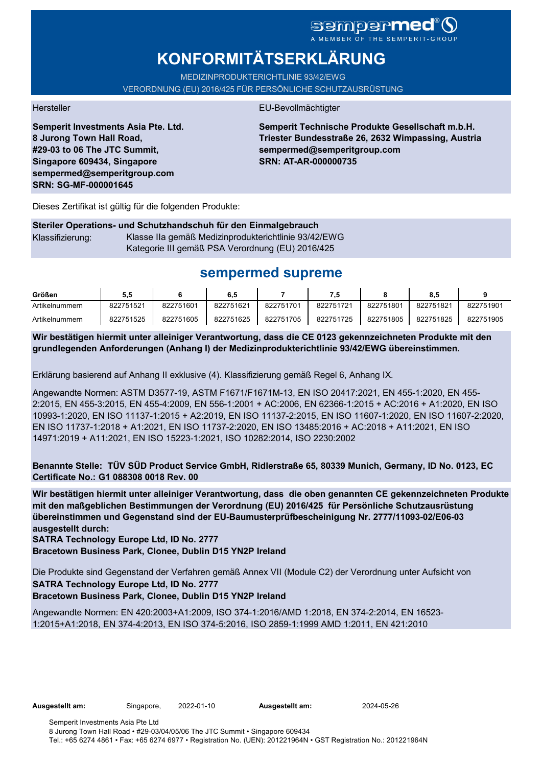# sempermed®

# **KONFORMITÄTSERKLÄRUNG**

MEDIZINPRODUKTERICHTLINIE 93/42/EWG

VERORDNUNG (EU) 2016/425 FÜR PERSÖNLICHE SCHUTZAUSRÜSTUNG

**Semperit Investments Asia Pte. Ltd. 8 Jurong Town Hall Road, #29-03 to 06 The JTC Summit, Singapore 609434, Singapore sempermed@semperitgroup.com SRN: SG-MF-000001645**

### Hersteller EU-Bevollmächtigter

**Semperit Technische Produkte Gesellschaft m.b.H. Triester Bundesstraße 26, 2632 Wimpassing, Austria sempermed@semperitgroup.com SRN: AT-AR-000000735**

Dieses Zertifikat ist gültig für die folgenden Produkte:

### **Steriler Operations- und Schutzhandschuh für den Einmalgebrauch** Klassifizierung: Klasse IIa gemäß Medizinprodukterichtlinie 93/42/EWG Kategorie III gemäß PSA Verordnung (EU) 2016/425

# **sempermed supreme**

| Größen         | 5.5       |           | 6.5       |           |           |           | ö.c       |           |
|----------------|-----------|-----------|-----------|-----------|-----------|-----------|-----------|-----------|
| Artikelnummern | 822751521 | 822751601 | 822751621 | 822751701 | 822751721 | 822751801 | 822751821 | 822751901 |
| Artikelnummern | 822751525 | 822751605 | 822751625 | 822751705 | 822751725 | 822751805 | 822751825 | 822751905 |

**Wir bestätigen hiermit unter alleiniger Verantwortung, dass die CE 0123 gekennzeichneten Produkte mit den grundlegenden Anforderungen (Anhang I) der Medizinprodukterichtlinie 93/42/EWG übereinstimmen.**

Erklärung basierend auf Anhang II exklusive (4). Klassifizierung gemäß Regel 6, Anhang IX.

Angewandte Normen: ASTM D3577-19, ASTM F1671/F1671M-13, EN ISO 20417:2021, EN 455-1:2020, EN 455- 2:2015, EN 455-3:2015, EN 455-4:2009, EN 556-1:2001 + AC:2006, EN 62366-1:2015 + AC:2016 + A1:2020, EN ISO 10993-1:2020, EN ISO 11137-1:2015 + A2:2019, EN ISO 11137-2:2015, EN ISO 11607-1:2020, EN ISO 11607-2:2020, EN ISO 11737-1:2018 + A1:2021, EN ISO 11737-2:2020, EN ISO 13485:2016 + AC:2018 + A11:2021, EN ISO 14971:2019 + A11:2021, EN ISO 15223-1:2021, ISO 10282:2014, ISO 2230:2002

**Benannte Stelle: TÜV SÜD Product Service GmbH, Ridlerstraße 65, 80339 Munich, Germany, ID No. 0123, EC Certificate No.: G1 088308 0018 Rev. 00** 

**Wir bestätigen hiermit unter alleiniger Verantwortung, dass die oben genannten CE gekennzeichneten Produkte mit den maßgeblichen Bestimmungen der Verordnung (EU) 2016/425 für Persönliche Schutzausrüstung übereinstimmen und Gegenstand sind der EU-Baumusterprüfbescheinigung Nr. 2777/11093-02/E06-03 ausgestellt durch:**

**SATRA Technology Europe Ltd, ID No. 2777**

**Bracetown Business Park, Clonee, Dublin D15 YN2P Ireland**

Die Produkte sind Gegenstand der Verfahren gemäß Annex VII (Module C2) der Verordnung unter Aufsicht von **SATRA Technology Europe Ltd, ID No. 2777**

**Bracetown Business Park, Clonee, Dublin D15 YN2P Ireland**

Angewandte Normen: EN 420:2003+A1:2009, ISO 374-1:2016/AMD 1:2018, EN 374-2:2014, EN 16523- 1:2015+A1:2018, EN 374-4:2013, EN ISO 374-5:2016, ISO 2859-1:1999 AMD 1:2011, EN 421:2010

**Ausgestellt am:** Singapore, 2022-01-10 **Ausgestellt am:** 2024-05-26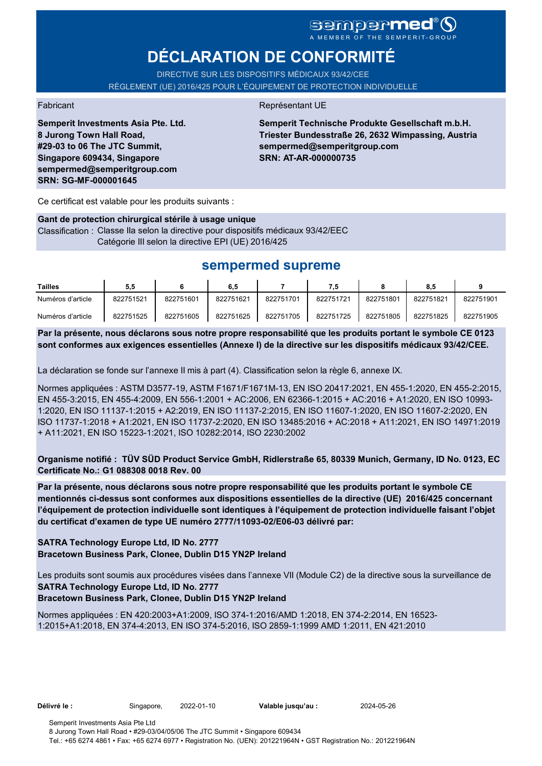# sempermed<sup>®</sup>()

# **DÉCLARATION DE CONFORMITÉ**

DIRECTIVE SUR LES DISPOSITIFS MÉDICAUX 93/42/CEE RÈGLEMENT (UE) 2016/425 POUR L'ÉQUIPEMENT DE PROTECTION INDIVIDUELLE

**Semperit Investments Asia Pte. Ltd. 8 Jurong Town Hall Road, #29-03 to 06 The JTC Summit, Singapore 609434, Singapore sempermed@semperitgroup.com SRN: SG-MF-000001645**

### Fabricant **Représentant UE**

**Semperit Technische Produkte Gesellschaft m.b.H. Triester Bundesstraße 26, 2632 Wimpassing, Austria sempermed@semperitgroup.com SRN: AT-AR-000000735**

Ce certificat est valable pour les produits suivants :

#### **Gant de protection chirurgical stérile à usage unique**

Classification : Classe IIa selon la directive pour dispositifs médicaux 93/42/EEC Catégorie III selon la directive EPI (UE) 2016/425

## **sempermed supreme**

| <b>Tailles</b>    | 5.5       |           | 6.5       |           |           |           | 8.5       |           |
|-------------------|-----------|-----------|-----------|-----------|-----------|-----------|-----------|-----------|
| Numéros d'article | 822751521 | 822751601 | 822751621 | 822751701 | 822751721 | 822751801 | 822751821 | 822751901 |
| Numéros d'article | 822751525 | 822751605 | 822751625 | 822751705 | 822751725 | 822751805 | 822751825 | 822751905 |

**Par la présente, nous déclarons sous notre propre responsabilité que les produits portant le symbole CE 0123 sont conformes aux exigences essentielles (Annexe I) de la directive sur les dispositifs médicaux 93/42/CEE.**

La déclaration se fonde sur l'annexe II mis à part (4). Classification selon la règle 6, annexe IX.

Normes appliquées : ASTM D3577-19, ASTM F1671/F1671M-13, EN ISO 20417:2021, EN 455-1:2020, EN 455-2:2015, EN 455-3:2015, EN 455-4:2009, EN 556-1:2001 + AC:2006, EN 62366-1:2015 + AC:2016 + A1:2020, EN ISO 10993- 1:2020, EN ISO 11137-1:2015 + A2:2019, EN ISO 11137-2:2015, EN ISO 11607-1:2020, EN ISO 11607-2:2020, EN ISO 11737-1:2018 + A1:2021, EN ISO 11737-2:2020, EN ISO 13485:2016 + AC:2018 + A11:2021, EN ISO 14971:2019 + A11:2021, EN ISO 15223-1:2021, ISO 10282:2014, ISO 2230:2002

**Organisme notifié : TÜV SÜD Product Service GmbH, Ridlerstraße 65, 80339 Munich, Germany, ID No. 0123, EC Certificate No.: G1 088308 0018 Rev. 00** 

**Par la présente, nous déclarons sous notre propre responsabilité que les produits portant le symbole CE mentionnés ci-dessus sont conformes aux dispositions essentielles de la directive (UE) 2016/425 concernant l'équipement de protection individuelle sont identiques à l'équipement de protection individuelle faisant l'objet du certificat d'examen de type UE numéro 2777/11093-02/E06-03 délivré par:**

### **SATRA Technology Europe Ltd, ID No. 2777**

**Bracetown Business Park, Clonee, Dublin D15 YN2P Ireland**

Les produits sont soumis aux procédures visées dans l'annexe VII (Module C2) de la directive sous la surveillance de **SATRA Technology Europe Ltd, ID No. 2777**

### **Bracetown Business Park, Clonee, Dublin D15 YN2P Ireland**

Normes appliquées : EN 420:2003+A1:2009, ISO 374-1:2016/AMD 1:2018, EN 374-2:2014, EN 16523- 1:2015+A1:2018, EN 374-4:2013, EN ISO 374-5:2016, ISO 2859-1:1999 AMD 1:2011, EN 421:2010

**Délivré le :** Singapore, 2022-01-10 **Valable jusqu'au :** 2024-05-26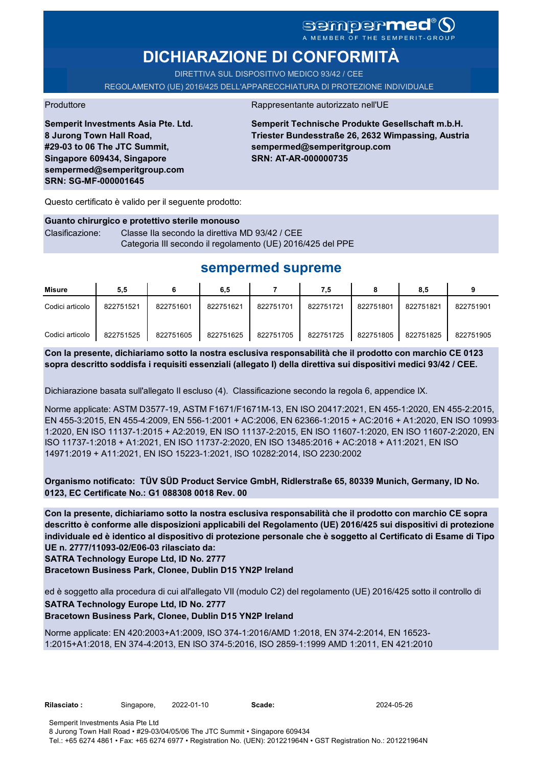# sempermed®(

# **DICHIARAZIONE DI CONFORMITÀ**

DIRETTIVA SUL DISPOSITIVO MEDICO 93/42 / CEE REGOLAMENTO (UE) 2016/425 DELL'APPARECCHIATURA DI PROTEZIONE INDIVIDUALE

Produttore **Rappresentante autorizzato nell'UE** 

**Semperit Investments Asia Pte. Ltd. 8 Jurong Town Hall Road, #29-03 to 06 The JTC Summit, Singapore 609434, Singapore sempermed@semperitgroup.com SRN: SG-MF-000001645**

**Semperit Technische Produkte Gesellschaft m.b.H. Triester Bundesstraße 26, 2632 Wimpassing, Austria sempermed@semperitgroup.com SRN: AT-AR-000000735**

Questo certificato è valido per il seguente prodotto:

**Guanto chirurgico e protettivo sterile monouso** Clasificazione: Classe IIa secondo la direttiva MD 93/42 / CEE Categoria III secondo il regolamento (UE) 2016/425 del PPE

# **sempermed supreme**

| Misure          | 5,5       |           | 6,5       |           | 7.5       |           | 8,5       |           |
|-----------------|-----------|-----------|-----------|-----------|-----------|-----------|-----------|-----------|
| Codici articolo | 822751521 | 822751601 | 822751621 | 822751701 | 822751721 | 822751801 | 822751821 | 822751901 |
| Codici articolo | 822751525 | 822751605 | 822751625 | 822751705 | 822751725 | 822751805 | 822751825 | 822751905 |

**Con la presente, dichiariamo sotto la nostra esclusiva responsabilità che il prodotto con marchio CE 0123 sopra descritto soddisfa i requisiti essenziali (allegato I) della direttiva sui dispositivi medici 93/42 / CEE.**

Dichiarazione basata sull'allegato II escluso (4). Classificazione secondo la regola 6, appendice IX.

Norme applicate: ASTM D3577-19, ASTM F1671/F1671M-13, EN ISO 20417:2021, EN 455-1:2020, EN 455-2:2015, EN 455-3:2015, EN 455-4:2009, EN 556-1:2001 + AC:2006, EN 62366-1:2015 + AC:2016 + A1:2020, EN ISO 10993- 1:2020, EN ISO 11137-1:2015 + A2:2019, EN ISO 11137-2:2015, EN ISO 11607-1:2020, EN ISO 11607-2:2020, EN ISO 11737-1:2018 + A1:2021, EN ISO 11737-2:2020, EN ISO 13485:2016 + AC:2018 + A11:2021, EN ISO 14971:2019 + A11:2021, EN ISO 15223-1:2021, ISO 10282:2014, ISO 2230:2002

**Organismo notificato: TÜV SÜD Product Service GmbH, Ridlerstraße 65, 80339 Munich, Germany, ID No. 0123, EC Certificate No.: G1 088308 0018 Rev. 00** 

**Con la presente, dichiariamo sotto la nostra esclusiva responsabilità che il prodotto con marchio CE sopra descritto è conforme alle disposizioni applicabili del Regolamento (UE) 2016/425 sui dispositivi di protezione individuale ed è identico al dispositivo di protezione personale che è soggetto al Certificato di Esame di Tipo UE n. 2777/11093-02/E06-03 rilasciato da:**

**SATRA Technology Europe Ltd, ID No. 2777**

**Bracetown Business Park, Clonee, Dublin D15 YN2P Ireland**

ed è soggetto alla procedura di cui all'allegato VII (modulo C2) del regolamento (UE) 2016/425 sotto il controllo di

### **SATRA Technology Europe Ltd, ID No. 2777**

**Bracetown Business Park, Clonee, Dublin D15 YN2P Ireland**

Norme applicate: EN 420:2003+A1:2009, ISO 374-1:2016/AMD 1:2018, EN 374-2:2014, EN 16523- 1:2015+A1:2018, EN 374-4:2013, EN ISO 374-5:2016, ISO 2859-1:1999 AMD 1:2011, EN 421:2010

| Rilasciato : |  |
|--------------|--|
|              |  |

**Rilasciato :** Singapore, 2022-01-10 **Scade:** 2024-05-26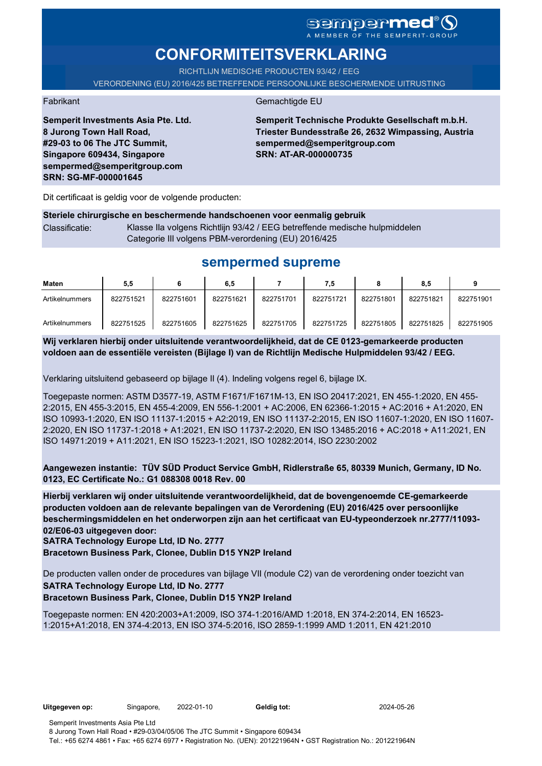## sempermed<sup>®</sup>Q A MEMBER OF THE SEMPERIT-GROUP

# **CONFORMITEITSVERKLARING**

RICHTLIJN MEDISCHE PRODUCTEN 93/42 / EEG VERORDENING (EU) 2016/425 BETREFFENDE PERSOONLIJKE BESCHERMENDE UITRUSTING

Fabrikant Gemachtigde EU

**Semperit Investments Asia Pte. Ltd. 8 Jurong Town Hall Road, #29-03 to 06 The JTC Summit, Singapore 609434, Singapore sempermed@semperitgroup.com SRN: SG-MF-000001645**

**Semperit Technische Produkte Gesellschaft m.b.H. Triester Bundesstraße 26, 2632 Wimpassing, Austria sempermed@semperitgroup.com SRN: AT-AR-000000735**

Dit certificaat is geldig voor de volgende producten:

### **Steriele chirurgische en beschermende handschoenen voor eenmalig gebruik** Classificatie: Klasse IIa volgens Richtlijn 93/42 / EEG betreffende medische hulpmiddelen Categorie III volgens PBM-verordening (EU) 2016/425

# **sempermed supreme**

| Maten          | 5,5       |           | 6,5       |           | 7,5       |           | 8.5       |           |
|----------------|-----------|-----------|-----------|-----------|-----------|-----------|-----------|-----------|
| Artikelnummers | 822751521 | 822751601 | 822751621 | 822751701 | 822751721 | 822751801 | 822751821 | 822751901 |
| Artikelnummers | 822751525 | 822751605 | 822751625 | 822751705 | 822751725 | 822751805 | 822751825 | 822751905 |

**Wij verklaren hierbij onder uitsluitende verantwoordelijkheid, dat de CE 0123-gemarkeerde producten voldoen aan de essentiële vereisten (Bijlage I) van de Richtlijn Medische Hulpmiddelen 93/42 / EEG.**

Verklaring uitsluitend gebaseerd op bijlage II (4). Indeling volgens regel 6, bijlage IX.

Toegepaste normen: ASTM D3577-19, ASTM F1671/F1671M-13, EN ISO 20417:2021, EN 455-1:2020, EN 455- 2:2015, EN 455-3:2015, EN 455-4:2009, EN 556-1:2001 + AC:2006, EN 62366-1:2015 + AC:2016 + A1:2020, EN ISO 10993-1:2020, EN ISO 11137-1:2015 + A2:2019, EN ISO 11137-2:2015, EN ISO 11607-1:2020, EN ISO 11607- 2:2020, EN ISO 11737-1:2018 + A1:2021, EN ISO 11737-2:2020, EN ISO 13485:2016 + AC:2018 + A11:2021, EN ISO 14971:2019 + A11:2021, EN ISO 15223-1:2021, ISO 10282:2014, ISO 2230:2002

**Aangewezen instantie: TÜV SÜD Product Service GmbH, Ridlerstraße 65, 80339 Munich, Germany, ID No. 0123, EC Certificate No.: G1 088308 0018 Rev. 00** 

**Hierbij verklaren wij onder uitsluitende verantwoordelijkheid, dat de bovengenoemde CE-gemarkeerde producten voldoen aan de relevante bepalingen van de Verordening (EU) 2016/425 over persoonlijke beschermingsmiddelen en het onderworpen zijn aan het certificaat van EU-typeonderzoek nr.2777/11093- 02/E06-03 uitgegeven door:**

**SATRA Technology Europe Ltd, ID No. 2777**

**Bracetown Business Park, Clonee, Dublin D15 YN2P Ireland**

De producten vallen onder de procedures van bijlage VII (module C2) van de verordening onder toezicht van **SATRA Technology Europe Ltd, ID No. 2777**

### **Bracetown Business Park, Clonee, Dublin D15 YN2P Ireland**

Toegepaste normen: EN 420:2003+A1:2009, ISO 374-1:2016/AMD 1:2018, EN 374-2:2014, EN 16523- 1:2015+A1:2018, EN 374-4:2013, EN ISO 374-5:2016, ISO 2859-1:1999 AMD 1:2011, EN 421:2010

**Uitgegeven op:** Singapore, 2022-01-10 **Geldig tot:** 2024-05-26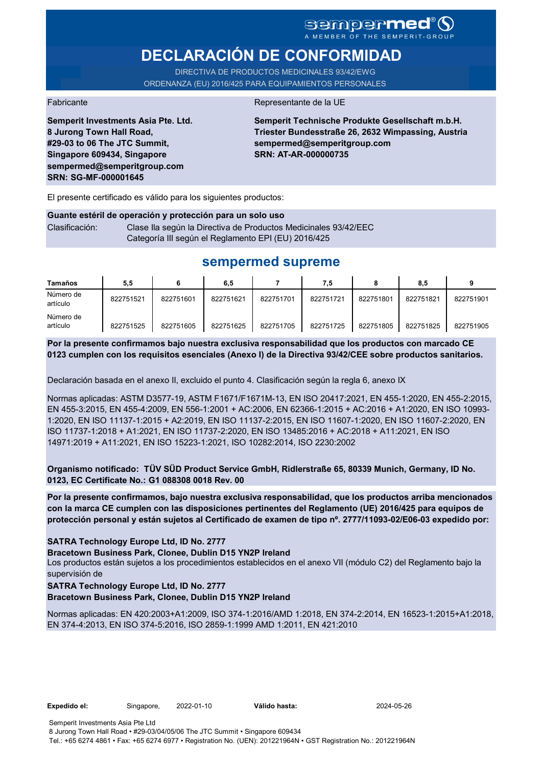# sempermed<sup>®</sup> Q

# **DECLARACIÓN DE CONFORMIDAD**

DIRECTIVA DE PRODUCTOS MEDICINALES 93/42/EWG ORDENANZA (EU) 2016/425 PARA EQUIPAMIENTOS PERSONALES

Fabricante de la UE de la UE de la UE de la UE de la UE de la UE de la UE de la UE de la UE de la UE de la UE

**Semperit Investments Asia Pte. Ltd. 8 Jurong Town Hall Road, #29-03 to 06 The JTC Summit, Singapore 609434, Singapore sempermed@semperitgroup.com SRN: SG-MF-000001645**

**Semperit Technische Produkte Gesellschaft m.b.H. Triester Bundesstraße 26, 2632 Wimpassing, Austria sempermed@semperitgroup.com SRN: AT-AR-000000735**

El presente certificado es válido para los siguientes productos:

## **Guante estéril de operación y protección para un solo uso** Clasificación: Clase Ila según la Directiva de Productos Medicinales 93/42/EEC Categoría III según el Reglamento EPI (EU) 2016/425

# **sempermed supreme**

| <b>Tamaños</b>        | 5,5       |           | 6,5       |           | 7,5       |           | 8.5       |           |
|-----------------------|-----------|-----------|-----------|-----------|-----------|-----------|-----------|-----------|
| Número de<br>artículo | 822751521 | 822751601 | 822751621 | 822751701 | 822751721 | 822751801 | 822751821 | 822751901 |
| Número de<br>artículo | 822751525 | 822751605 | 822751625 | 822751705 | 822751725 | 822751805 | 822751825 | 822751905 |

**Por la presente confirmamos bajo nuestra exclusiva responsabilidad que los productos con marcado CE 0123 cumplen con los requisitos esenciales (Anexo I) de la Directiva 93/42/CEE sobre productos sanitarios.**

Declaración basada en el anexo II, excluido el punto 4. Clasificación según la regla 6, anexo IX

Normas aplicadas: ASTM D3577-19, ASTM F1671/F1671M-13, EN ISO 20417:2021, EN 455-1:2020, EN 455-2:2015, EN 455-3:2015, EN 455-4:2009, EN 556-1:2001 + AC:2006, EN 62366-1:2015 + AC:2016 + A1:2020, EN ISO 10993- 1:2020, EN ISO 11137-1:2015 + A2:2019, EN ISO 11137-2:2015, EN ISO 11607-1:2020, EN ISO 11607-2:2020, EN ISO 11737-1:2018 + A1:2021, EN ISO 11737-2:2020, EN ISO 13485:2016 + AC:2018 + A11:2021, EN ISO 14971:2019 + A11:2021, EN ISO 15223-1:2021, ISO 10282:2014, ISO 2230:2002

**Organismo notificado: TÜV SÜD Product Service GmbH, Ridlerstraße 65, 80339 Munich, Germany, ID No. 0123, EC Certificate No.: G1 088308 0018 Rev. 00** 

**Por la presente confirmamos, bajo nuestra exclusiva responsabilidad, que los productos arriba mencionados con la marca CE cumplen con las disposiciones pertinentes del Reglamento (UE) 2016/425 para equipos de protección personal y están sujetos al Certificado de examen de tipo nº. 2777/11093-02/E06-03 expedido por:**

### **SATRA Technology Europe Ltd, ID No. 2777**

**Bracetown Business Park, Clonee, Dublin D15 YN2P Ireland**

Los productos están sujetos a los procedimientos establecidos en el anexo VII (módulo C2) del Reglamento bajo la supervisión de

## **SATRA Technology Europe Ltd, ID No. 2777**

**Bracetown Business Park, Clonee, Dublin D15 YN2P Ireland**

Normas aplicadas: EN 420:2003+A1:2009, ISO 374-1:2016/AMD 1:2018, EN 374-2:2014, EN 16523-1:2015+A1:2018, EN 374-4:2013, EN ISO 374-5:2016, ISO 2859-1:1999 AMD 1:2011, EN 421:2010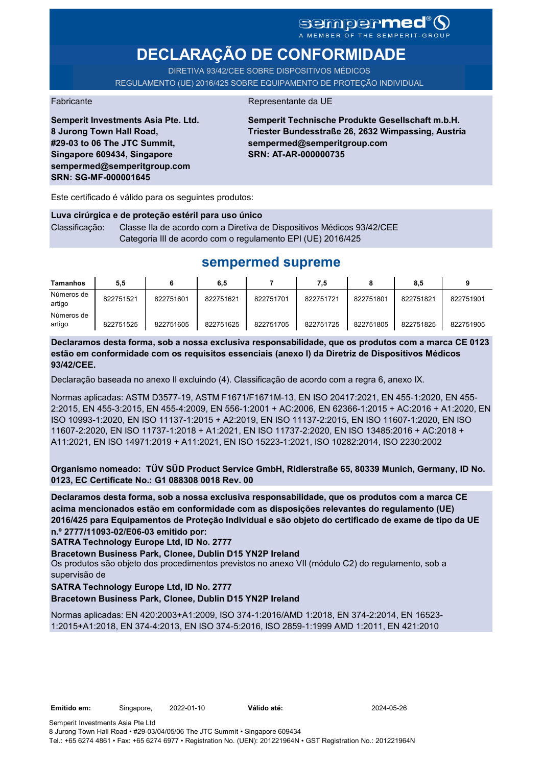## **sempermed®** A MEMBER OF THE SEMPERIT-GROUP

**DECLARAÇÃO DE CONFORMIDADE**

DIRETIVA 93/42/CEE SOBRE DISPOSITIVOS MÉDICOS REGULAMENTO (UE) 2016/425 SOBRE EQUIPAMENTO DE PROTEÇÃO INDIVIDUAL

Fabricante da UE

**Semperit Investments Asia Pte. Ltd. 8 Jurong Town Hall Road, #29-03 to 06 The JTC Summit, Singapore 609434, Singapore sempermed@semperitgroup.com SRN: SG-MF-000001645**

**Semperit Technische Produkte Gesellschaft m.b.H. Triester Bundesstraße 26, 2632 Wimpassing, Austria sempermed@semperitgroup.com SRN: AT-AR-000000735**

Este certificado é válido para os seguintes produtos:

#### **Luva cirúrgica e de proteção estéril para uso único**

Classificação: Classe IIa de acordo com a Diretiva de Dispositivos Médicos 93/42/CEE Categoria III de acordo com o regulamento EPI (UE) 2016/425

# **sempermed supreme**

| <b>Tamanhos</b>      | 5,5       |           | 6,5       |           | 7,5       |           | 8,5       |           |
|----------------------|-----------|-----------|-----------|-----------|-----------|-----------|-----------|-----------|
| Números de<br>artigo | 822751521 | 822751601 | 822751621 | 822751701 | 822751721 | 822751801 | 822751821 | 822751901 |
| Números de<br>artigo | 822751525 | 822751605 | 822751625 | 822751705 | 822751725 | 822751805 | 822751825 | 822751905 |

**Declaramos desta forma, sob a nossa exclusiva responsabilidade, que os produtos com a marca CE 0123 estão em conformidade com os requisitos essenciais (anexo I) da Diretriz de Dispositivos Médicos 93/42/CEE.**

Declaração baseada no anexo II excluindo (4). Classificação de acordo com a regra 6, anexo IX.

Normas aplicadas: ASTM D3577-19, ASTM F1671/F1671M-13, EN ISO 20417:2021, EN 455-1:2020, EN 455- 2:2015, EN 455-3:2015, EN 455-4:2009, EN 556-1:2001 + AC:2006, EN 62366-1:2015 + AC:2016 + A1:2020, EN ISO 10993-1:2020, EN ISO 11137-1:2015 + A2:2019, EN ISO 11137-2:2015, EN ISO 11607-1:2020, EN ISO 11607-2:2020, EN ISO 11737-1:2018 + A1:2021, EN ISO 11737-2:2020, EN ISO 13485:2016 + AC:2018 + A11:2021, EN ISO 14971:2019 + A11:2021, EN ISO 15223-1:2021, ISO 10282:2014, ISO 2230:2002

**Organismo nomeado: TÜV SÜD Product Service GmbH, Ridlerstraße 65, 80339 Munich, Germany, ID No. 0123, EC Certificate No.: G1 088308 0018 Rev. 00** 

**Declaramos desta forma, sob a nossa exclusiva responsabilidade, que os produtos com a marca CE acima mencionados estão em conformidade com as disposições relevantes do regulamento (UE) 2016/425 para Equipamentos de Proteção Individual e são objeto do certificado de exame de tipo da UE n.º 2777/11093-02/E06-03 emitido por:**

**SATRA Technology Europe Ltd, ID No. 2777**

**Bracetown Business Park, Clonee, Dublin D15 YN2P Ireland**

Os produtos são objeto dos procedimentos previstos no anexo VII (módulo C2) do regulamento, sob a supervisão de

### **SATRA Technology Europe Ltd, ID No. 2777**

**Bracetown Business Park, Clonee, Dublin D15 YN2P Ireland**

Normas aplicadas: EN 420:2003+A1:2009, ISO 374-1:2016/AMD 1:2018, EN 374-2:2014, EN 16523- 1:2015+A1:2018, EN 374-4:2013, EN ISO 374-5:2016, ISO 2859-1:1999 AMD 1:2011, EN 421:2010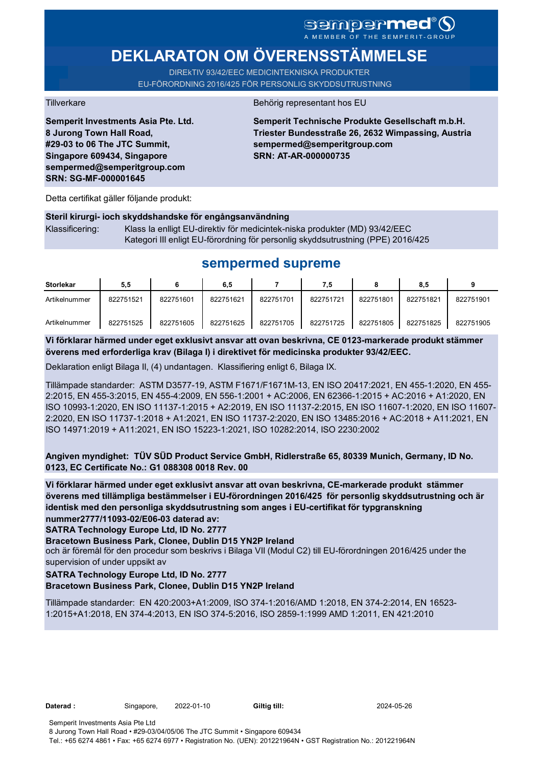**DEKLARATON OM ÖVERENSSTÄMMELSE** 

DIREkTIV 93/42/EEC MEDICINTEKNISKA PRODUKTER EU-FÖRORDNING 2016/425 FÖR PERSONLIG SKYDDSUTRUSTNING

**Semperit Investments Asia Pte. Ltd. 8 Jurong Town Hall Road, #29-03 to 06 The JTC Summit, Singapore 609434, Singapore sempermed@semperitgroup.com SRN: SG-MF-000001645**

### Tillverkare Behörig representant hos EU

**Semperit Technische Produkte Gesellschaft m.b.H. Triester Bundesstraße 26, 2632 Wimpassing, Austria sempermed@semperitgroup.com SRN: AT-AR-000000735**

Detta certifikat gäller följande produkt:

#### **Steril kirurgi- ioch skyddshandske för engångsanvändning**

| Klassificering: | Klass la enlligt EU-direktiv för medicintek-niska produkter (MD) 93/42/EEC      |
|-----------------|---------------------------------------------------------------------------------|
|                 | Kategori III enligt EU-förordning för personlig skyddsutrustning (PPE) 2016/425 |

## **sempermed supreme**

| <b>Storlekar</b> | 5.5       |           | 6,5       |           | 7.5       |           | 8.5       |           |
|------------------|-----------|-----------|-----------|-----------|-----------|-----------|-----------|-----------|
| Artikelnummer    | 822751521 | 822751601 | 822751621 | 822751701 | 822751721 | 822751801 | 822751821 | 822751901 |
| Artikelnummer    | 822751525 | 822751605 | 822751625 | 822751705 | 822751725 | 822751805 | 822751825 | 822751905 |

**Vi förklarar härmed under eget exklusivt ansvar att ovan beskrivna, CE 0123-markerade produkt stämmer överens med erforderliga krav (Bilaga I) i direktivet för medicinska produkter 93/42/EEC.**

Deklaration enligt Bilaga II, (4) undantagen. Klassifiering enligt 6, Bilaga IX.

Tillämpade standarder: ASTM D3577-19, ASTM F1671/F1671M-13, EN ISO 20417:2021, EN 455-1:2020, EN 455- 2:2015, EN 455-3:2015, EN 455-4:2009, EN 556-1:2001 + AC:2006, EN 62366-1:2015 + AC:2016 + A1:2020, EN ISO 10993-1:2020, EN ISO 11137-1:2015 + A2:2019, EN ISO 11137-2:2015, EN ISO 11607-1:2020, EN ISO 11607- 2:2020, EN ISO 11737-1:2018 + A1:2021, EN ISO 11737-2:2020, EN ISO 13485:2016 + AC:2018 + A11:2021, EN ISO 14971:2019 + A11:2021, EN ISO 15223-1:2021, ISO 10282:2014, ISO 2230:2002

**Angiven myndighet: TÜV SÜD Product Service GmbH, Ridlerstraße 65, 80339 Munich, Germany, ID No. 0123, EC Certificate No.: G1 088308 0018 Rev. 00** 

**Vi förklarar härmed under eget exklusivt ansvar att ovan beskrivna, CE-markerade produkt stämmer överens med tillämpliga bestämmelser i EU-förordningen 2016/425 för personlig skyddsutrustning och är identisk med den personliga skyddsutrustning som anges i EU-certifikat för typgranskning nummer2777/11093-02/E06-03 daterad av:**

**SATRA Technology Europe Ltd, ID No. 2777**

**Bracetown Business Park, Clonee, Dublin D15 YN2P Ireland**

och är föremål för den procedur som beskrivs i Bilaga VII (Modul C2) till EU-förordningen 2016/425 under the supervision of under uppsikt av

#### **SATRA Technology Europe Ltd, ID No. 2777**

#### **Bracetown Business Park, Clonee, Dublin D15 YN2P Ireland**

Tillämpade standarder: EN 420:2003+A1:2009, ISO 374-1:2016/AMD 1:2018, EN 374-2:2014, EN 16523- 1:2015+A1:2018, EN 374-4:2013, EN ISO 374-5:2016, ISO 2859-1:1999 AMD 1:2011, EN 421:2010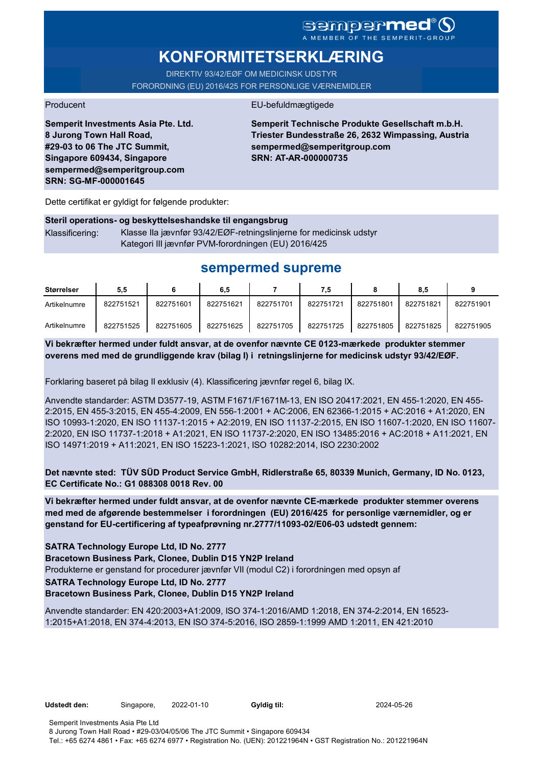# SGMDGP**MCC**<sup>®</sup>

# **KONFORMITETSERKLÆRING**

DIREKTIV 93/42/EØF OM MEDICINSK UDSTYR FORORDNING (EU) 2016/425 FOR PERSONLIGE VÆRNEMIDLER

#### Producent **EU-befuldmægtigede**

**Semperit Investments Asia Pte. Ltd. 8 Jurong Town Hall Road, #29-03 to 06 The JTC Summit, Singapore 609434, Singapore sempermed@semperitgroup.com SRN: SG-MF-000001645**

**Semperit Technische Produkte Gesellschaft m.b.H. Triester Bundesstraße 26, 2632 Wimpassing, Austria sempermed@semperitgroup.com SRN: AT-AR-000000735**

Dette certifikat er gyldigt for følgende produkter:

## **Steril operations- og beskyttelseshandske til engangsbrug** Klassificering: Klasse IIa jævnfør 93/42/EØF-retningslinjerne for medicinsk udstyr Kategori III jævnfør PVM-forordningen (EU) 2016/425

# **sempermed supreme**

| Størrelser   | 5.5       |           | 6,5       |           |           |           | 8,5       |           |
|--------------|-----------|-----------|-----------|-----------|-----------|-----------|-----------|-----------|
| Artikelnumre | 822751521 | 822751601 | 822751621 | 822751701 | 822751721 | 822751801 | 822751821 | 822751901 |
| Artikelnumre | 822751525 | 822751605 | 822751625 | 822751705 | 822751725 | 822751805 | 822751825 | 822751905 |

**Vi bekræfter hermed under fuldt ansvar, at de ovenfor nævnte CE 0123-mærkede produkter stemmer overens med med de grundliggende krav (bilag I) i retningslinjerne for medicinsk udstyr 93/42/EØF.**

Forklaring baseret på bilag II exklusiv (4). Klassificering jævnfør regel 6, bilag IX.

Anvendte standarder: ASTM D3577-19, ASTM F1671/F1671M-13, EN ISO 20417:2021, EN 455-1:2020, EN 455- 2:2015, EN 455-3:2015, EN 455-4:2009, EN 556-1:2001 + AC:2006, EN 62366-1:2015 + AC:2016 + A1:2020, EN ISO 10993-1:2020, EN ISO 11137-1:2015 + A2:2019, EN ISO 11137-2:2015, EN ISO 11607-1:2020, EN ISO 11607- 2:2020, EN ISO 11737-1:2018 + A1:2021, EN ISO 11737-2:2020, EN ISO 13485:2016 + AC:2018 + A11:2021, EN ISO 14971:2019 + A11:2021, EN ISO 15223-1:2021, ISO 10282:2014, ISO 2230:2002

**Det nævnte sted: TÜV SÜD Product Service GmbH, Ridlerstraße 65, 80339 Munich, Germany, ID No. 0123, EC Certificate No.: G1 088308 0018 Rev. 00** 

**Vi bekræfter hermed under fuldt ansvar, at de ovenfor nævnte CE-mærkede produkter stemmer overens med med de afgørende bestemmelser i forordningen (EU) 2016/425 for personlige værnemidler, og er genstand for EU-certificering af typeafprøvning nr.2777/11093-02/E06-03 udstedt gennem:**

**SATRA Technology Europe Ltd, ID No. 2777**

**Bracetown Business Park, Clonee, Dublin D15 YN2P Ireland**

Produkterne er genstand for procedurer jævnfør VII (modul C2) i forordningen med opsyn af

**SATRA Technology Europe Ltd, ID No. 2777**

**Bracetown Business Park, Clonee, Dublin D15 YN2P Ireland**

Anvendte standarder: EN 420:2003+A1:2009, ISO 374-1:2016/AMD 1:2018, EN 374-2:2014, EN 16523- 1:2015+A1:2018, EN 374-4:2013, EN ISO 374-5:2016, ISO 2859-1:1999 AMD 1:2011, EN 421:2010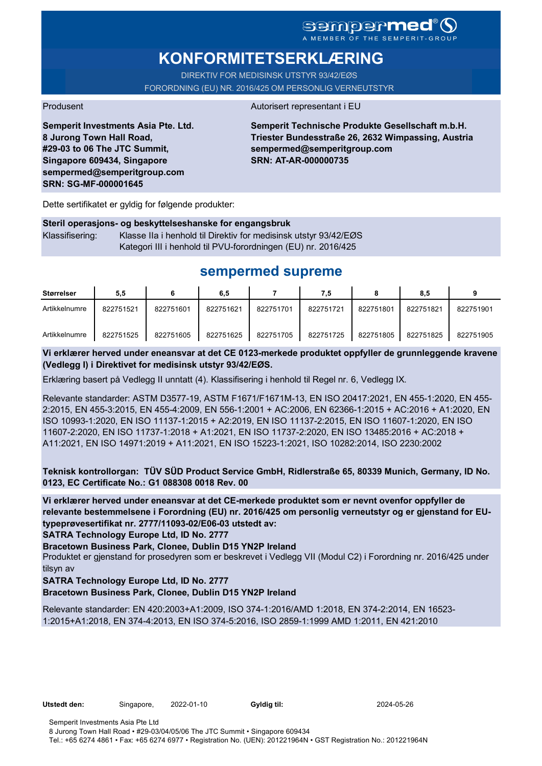# **KONFORMITETSERKLÆRING**

DIREKTIV FOR MEDISINSK UTSTYR 93/42/EØS FORORDNING (EU) NR. 2016/425 OM PERSONLIG VERNEUTSTYR

### Produsent Autorisert representant i EU

**Semperit Investments Asia Pte. Ltd. 8 Jurong Town Hall Road, #29-03 to 06 The JTC Summit, Singapore 609434, Singapore sempermed@semperitgroup.com SRN: SG-MF-000001645**

**Semperit Technische Produkte Gesellschaft m.b.H. Triester Bundesstraße 26, 2632 Wimpassing, Austria sempermed@semperitgroup.com SRN: AT-AR-000000735**

Dette sertifikatet er gyldig for følgende produkter:

**Steril operasjons- og beskyttelseshanske for engangsbruk** Klassifisering: Klasse IIa i henhold til Direktiv for medisinsk utstyr 93/42/EØS Kategori III i henhold til PVU-forordningen (EU) nr. 2016/425

# **sempermed supreme**

| Størrelser    | 5,5       |           | 6,5       |           | 7.5       |           | 8.5       |           |
|---------------|-----------|-----------|-----------|-----------|-----------|-----------|-----------|-----------|
| Artikkelnumre | 822751521 | 822751601 | 822751621 | 822751701 | 822751721 | 822751801 | 822751821 | 822751901 |
| Artikkelnumre | 822751525 | 822751605 | 822751625 | 822751705 | 822751725 | 822751805 | 822751825 | 822751905 |

**Vi erklærer herved under eneansvar at det CE 0123-merkede produktet oppfyller de grunnleggende kravene (Vedlegg I) i Direktivet for medisinsk utstyr 93/42/EØS.**

Erklæring basert på Vedlegg II unntatt (4). Klassifisering i henhold til Regel nr. 6, Vedlegg IX.

Relevante standarder: ASTM D3577-19, ASTM F1671/F1671M-13, EN ISO 20417:2021, EN 455-1:2020, EN 455- 2:2015, EN 455-3:2015, EN 455-4:2009, EN 556-1:2001 + AC:2006, EN 62366-1:2015 + AC:2016 + A1:2020, EN ISO 10993-1:2020, EN ISO 11137-1:2015 + A2:2019, EN ISO 11137-2:2015, EN ISO 11607-1:2020, EN ISO 11607-2:2020, EN ISO 11737-1:2018 + A1:2021, EN ISO 11737-2:2020, EN ISO 13485:2016 + AC:2018 + A11:2021, EN ISO 14971:2019 + A11:2021, EN ISO 15223-1:2021, ISO 10282:2014, ISO 2230:2002

**Teknisk kontrollorgan: TÜV SÜD Product Service GmbH, Ridlerstraße 65, 80339 Munich, Germany, ID No. 0123, EC Certificate No.: G1 088308 0018 Rev. 00** 

**Vi erklærer herved under eneansvar at det CE-merkede produktet som er nevnt ovenfor oppfyller de relevante bestemmelsene i Forordning (EU) nr. 2016/425 om personlig verneutstyr og er gjenstand for EUtypeprøvesertifikat nr. 2777/11093-02/E06-03 utstedt av:**

**SATRA Technology Europe Ltd, ID No. 2777**

**Bracetown Business Park, Clonee, Dublin D15 YN2P Ireland**

Produktet er gjenstand for prosedyren som er beskrevet i Vedlegg VII (Modul C2) i Forordning nr. 2016/425 under tilsyn av

### **SATRA Technology Europe Ltd, ID No. 2777**

**Bracetown Business Park, Clonee, Dublin D15 YN2P Ireland**

Relevante standarder: EN 420:2003+A1:2009, ISO 374-1:2016/AMD 1:2018, EN 374-2:2014, EN 16523- 1:2015+A1:2018, EN 374-4:2013, EN ISO 374-5:2016, ISO 2859-1:1999 AMD 1:2011, EN 421:2010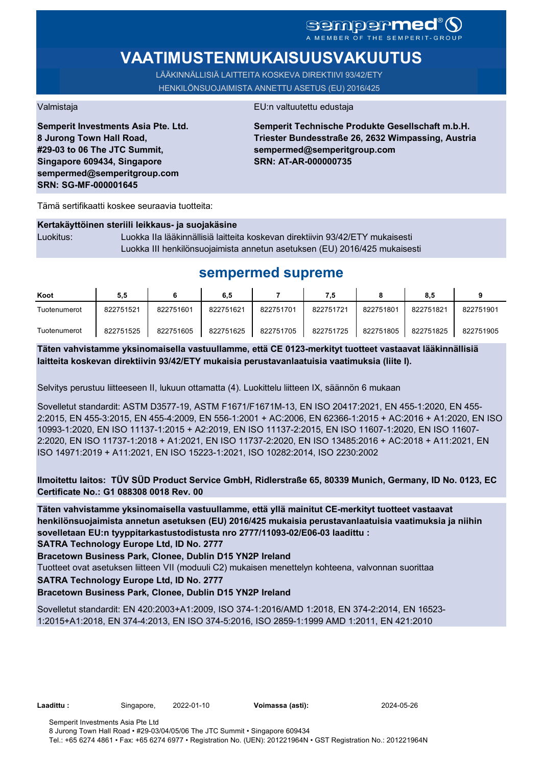# sempermed®

# **VAATIMUSTENMUKAISUUSVAKUUTUS**

LÄÄKINNÄLLISIÄ LAITTEITA KOSKEVA DIREKTIIVI 93/42/ETY HENKILÖNSUOJAIMISTA ANNETTU ASETUS (EU) 2016/425

**Semperit Investments Asia Pte. Ltd. 8 Jurong Town Hall Road, #29-03 to 06 The JTC Summit, Singapore 609434, Singapore sempermed@semperitgroup.com SRN: SG-MF-000001645**

#### Valmistaja EU:n valtuutettu edustaja

**Semperit Technische Produkte Gesellschaft m.b.H. Triester Bundesstraße 26, 2632 Wimpassing, Austria sempermed@semperitgroup.com SRN: AT-AR-000000735**

Tämä sertifikaatti koskee seuraavia tuotteita:

## **Kertakäyttöinen steriili leikkaus- ja suojakäsine**

Luokitus: Luokka IIa lääkinnällisiä laitteita koskevan direktiivin 93/42/ETY mukaisesti Luokka III henkilönsuojaimista annetun asetuksen (EU) 2016/425 mukaisesti

# **sempermed supreme**

| Koot         | 5,5       |           | 6,5       |           | 7.5       |           | 8.5       |           |
|--------------|-----------|-----------|-----------|-----------|-----------|-----------|-----------|-----------|
| Tuotenumerot | 822751521 | 822751601 | 822751621 | 822751701 | 822751721 | 822751801 | 822751821 | 822751901 |
| Tuotenumerot | 822751525 | 822751605 | 822751625 | 822751705 | 822751725 | 822751805 | 822751825 | 822751905 |

**Täten vahvistamme yksinomaisella vastuullamme, että CE 0123-merkityt tuotteet vastaavat lääkinnällisiä laitteita koskevan direktiivin 93/42/ETY mukaisia perustavanlaatuisia vaatimuksia (liite I).**

Selvitys perustuu liitteeseen II, lukuun ottamatta (4). Luokittelu liitteen IX, säännön 6 mukaan

Sovelletut standardit: ASTM D3577-19, ASTM F1671/F1671M-13, EN ISO 20417:2021, EN 455-1:2020, EN 455- 2:2015, EN 455-3:2015, EN 455-4:2009, EN 556-1:2001 + AC:2006, EN 62366-1:2015 + AC:2016 + A1:2020, EN ISO 10993-1:2020, EN ISO 11137-1:2015 + A2:2019, EN ISO 11137-2:2015, EN ISO 11607-1:2020, EN ISO 11607- 2:2020, EN ISO 11737-1:2018 + A1:2021, EN ISO 11737-2:2020, EN ISO 13485:2016 + AC:2018 + A11:2021, EN ISO 14971:2019 + A11:2021, EN ISO 15223-1:2021, ISO 10282:2014, ISO 2230:2002

**Ilmoitettu laitos: TÜV SÜD Product Service GmbH, Ridlerstraße 65, 80339 Munich, Germany, ID No. 0123, EC Certificate No.: G1 088308 0018 Rev. 00** 

**Täten vahvistamme yksinomaisella vastuullamme, että yllä mainitut CE-merkityt tuotteet vastaavat henkilönsuojaimista annetun asetuksen (EU) 2016/425 mukaisia perustavanlaatuisia vaatimuksia ja niihin sovelletaan EU:n tyyppitarkastustodistusta nro 2777/11093-02/E06-03 laadittu :**

**SATRA Technology Europe Ltd, ID No. 2777**

**Bracetown Business Park, Clonee, Dublin D15 YN2P Ireland**

Tuotteet ovat asetuksen liitteen VII (moduuli C2) mukaisen menettelyn kohteena, valvonnan suorittaa

**SATRA Technology Europe Ltd, ID No. 2777**

**Bracetown Business Park, Clonee, Dublin D15 YN2P Ireland**

Sovelletut standardit: EN 420:2003+A1:2009, ISO 374-1:2016/AMD 1:2018, EN 374-2:2014, EN 16523- 1:2015+A1:2018, EN 374-4:2013, EN ISO 374-5:2016, ISO 2859-1:1999 AMD 1:2011, EN 421:2010

**Laadittu :** Singapore, 2022-01-10 **Voimassa (asti):** 2024-05-26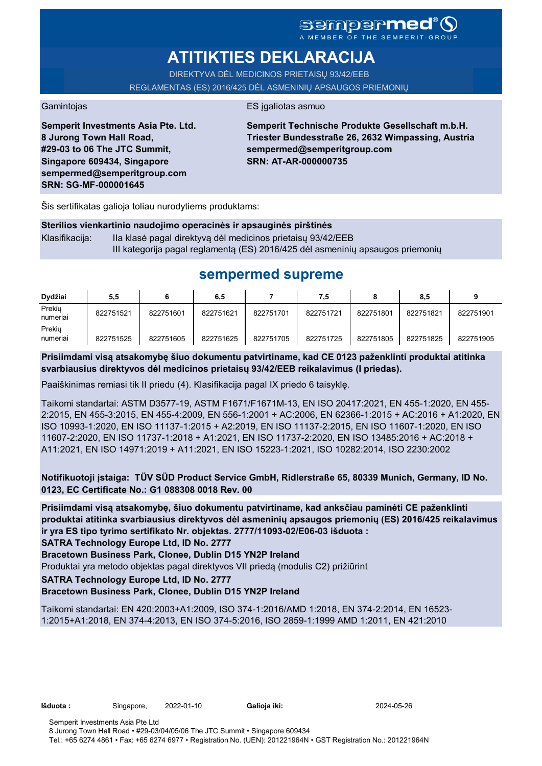## **sempermed** MEMBER OF THE SEMPERIT-

# **ATITIKTIES DEKLARACIJA**

DIREKTYVA DĖL MEDICINOS PRIETAISŲ 93/42/EEB REGLAMENTAS (ES) 2016/425 DĖL ASMENINIŲ APSAUGOS PRIEMONIŲ

### Gamintojas **ES** įgaliotas asmuo

**Semperit Investments Asia Pte. Ltd. 8 Jurong Town Hall Road, #29-03 to 06 The JTC Summit, Singapore 609434, Singapore sempermed@semperitgroup.com SRN: SG-MF-000001645**

**Semperit Technische Produkte Gesellschaft m.b.H. Triester Bundesstraße 26, 2632 Wimpassing, Austria sempermed@semperitgroup.com SRN: AT-AR-000000735**

Šis sertifikatas galioja toliau nurodytiems produktams:

### **Sterilios vienkartinio naudojimo operacinės ir apsauginės pirštinės**

Klasifikacija: Ila klasė pagal direktyvą dėl medicinos prietaisų 93/42/EEB III kategorija pagal reglamentą (ES) 2016/425 dėl asmeninių apsaugos priemonių

# **sempermed supreme**

| Dydžiai            | 5,5       |           | 6,5       |           | 7,5       |           | 8,5       |           |
|--------------------|-----------|-----------|-----------|-----------|-----------|-----------|-----------|-----------|
| Prekiu<br>numeriai | 822751521 | 822751601 | 822751621 | 822751701 | 822751721 | 822751801 | 822751821 | 822751901 |
| Prekiu<br>numeriai | 822751525 | 822751605 | 822751625 | 822751705 | 822751725 | 822751805 | 822751825 | 822751905 |

**Prisiimdami visą atsakomybę šiuo dokumentu patvirtiname, kad CE 0123 paženklinti produktai atitinka svarbiausius direktyvos dėl medicinos prietaisų 93/42/EEB reikalavimus (I priedas).**

Paaiškinimas remiasi tik II priedu (4). Klasifikacija pagal IX priedo 6 taisyklę.

Taikomi standartai: ASTM D3577-19, ASTM F1671/F1671M-13, EN ISO 20417:2021, EN 455-1:2020, EN 455- 2:2015, EN 455-3:2015, EN 455-4:2009, EN 556-1:2001 + AC:2006, EN 62366-1:2015 + AC:2016 + A1:2020, EN ISO 10993-1:2020, EN ISO 11137-1:2015 + A2:2019, EN ISO 11137-2:2015, EN ISO 11607-1:2020, EN ISO 11607-2:2020, EN ISO 11737-1:2018 + A1:2021, EN ISO 11737-2:2020, EN ISO 13485:2016 + AC:2018 + A11:2021, EN ISO 14971:2019 + A11:2021, EN ISO 15223-1:2021, ISO 10282:2014, ISO 2230:2002

**Notifikuotoji įstaiga: TÜV SÜD Product Service GmbH, Ridlerstraße 65, 80339 Munich, Germany, ID No. 0123, EC Certificate No.: G1 088308 0018 Rev. 00** 

**Prisiimdami visą atsakomybę, šiuo dokumentu patvirtiname, kad anksčiau paminėti CE paženklinti produktai atitinka svarbiausius direktyvos dėl asmeninių apsaugos priemonių (ES) 2016/425 reikalavimus ir yra ES tipo tyrimo sertifikato Nr. objektas. 2777/11093-02/E06-03 išduota :**

**SATRA Technology Europe Ltd, ID No. 2777**

**Bracetown Business Park, Clonee, Dublin D15 YN2P Ireland**

Produktai yra metodo objektas pagal direktyvos VII priedą (modulis C2) prižiūrint

### **SATRA Technology Europe Ltd, ID No. 2777**

**Bracetown Business Park, Clonee, Dublin D15 YN2P Ireland**

Taikomi standartai: EN 420:2003+A1:2009, ISO 374-1:2016/AMD 1:2018, EN 374-2:2014, EN 16523- 1:2015+A1:2018, EN 374-4:2013, EN ISO 374-5:2016, ISO 2859-1:1999 AMD 1:2011, EN 421:2010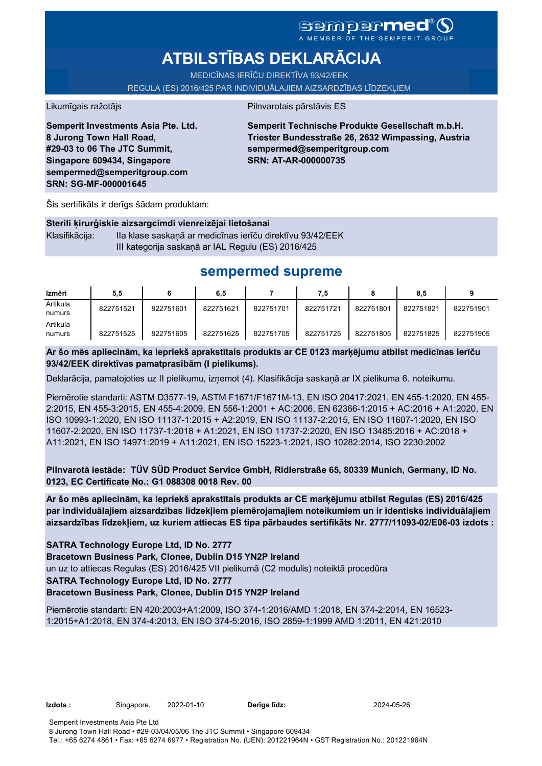# **ATBILSTĪBAS DEKLARĀCIJA**

MEDICĪNAS IERĪČU DIREKTĪVA 93/42/EEK REGULA (ES) 2016/425 PAR INDIVIDUĀLAJIEM AIZSARDZĪBAS LĪDZEKĻIEM

### Likumīgais ražotājs **Pilnvarotais pārstāvis ES**

**Semperit Investments Asia Pte. Ltd. 8 Jurong Town Hall Road, #29-03 to 06 The JTC Summit, Singapore 609434, Singapore sempermed@semperitgroup.com SRN: SG-MF-000001645**

**Semperit Technische Produkte Gesellschaft m.b.H. Triester Bundesstraße 26, 2632 Wimpassing, Austria sempermed@semperitgroup.com SRN: AT-AR-000000735**

Šis sertifikāts ir derīgs šādam produktam:

**Sterili ķirurģiskie aizsargcimdi vienreizējai lietošanai** Klasifikācija: IIa klase saskaņā ar medicīnas ierīču direktīvu 93/42/EEK III kategorija saskaņā ar IAL Regulu (ES) 2016/425

# **sempermed supreme**

| Izmēri             | 5,5       |           | 6,5       |           | 7,5       |           | 8.5       |           |
|--------------------|-----------|-----------|-----------|-----------|-----------|-----------|-----------|-----------|
| Artikula<br>numurs | 822751521 | 822751601 | 822751621 | 822751701 | 822751721 | 822751801 | 822751821 | 822751901 |
| Artikula<br>numurs | 822751525 | 822751605 | 822751625 | 822751705 | 822751725 | 822751805 | 822751825 | 822751905 |

**Ar šo mēs apliecinām, ka iepriekš aprakstītais produkts ar CE 0123 marķējumu atbilst medicīnas ierīču 93/42/EEK direktīvas pamatprasībām (I pielikums).**

Deklarācija, pamatojoties uz II pielikumu, izņemot (4). Klasifikācija saskaņā ar IX pielikuma 6. noteikumu.

Piemērotie standarti: ASTM D3577-19, ASTM F1671/F1671M-13, EN ISO 20417:2021, EN 455-1:2020, EN 455- 2:2015, EN 455-3:2015, EN 455-4:2009, EN 556-1:2001 + AC:2006, EN 62366-1:2015 + AC:2016 + A1:2020, EN ISO 10993-1:2020, EN ISO 11137-1:2015 + A2:2019, EN ISO 11137-2:2015, EN ISO 11607-1:2020, EN ISO 11607-2:2020, EN ISO 11737-1:2018 + A1:2021, EN ISO 11737-2:2020, EN ISO 13485:2016 + AC:2018 + A11:2021, EN ISO 14971:2019 + A11:2021, EN ISO 15223-1:2021, ISO 10282:2014, ISO 2230:2002

**Pilnvarotā iestāde: TÜV SÜD Product Service GmbH, Ridlerstraße 65, 80339 Munich, Germany, ID No. 0123, EC Certificate No.: G1 088308 0018 Rev. 00** 

**Ar šo mēs apliecinām, ka iepriekš aprakstītais produkts ar CE marķējumu atbilst Regulas (ES) 2016/425 par individuālajiem aizsardzības līdzekļiem piemērojamajiem noteikumiem un ir identisks individuālajiem aizsardzības līdzekļiem, uz kuriem attiecas ES tipa pārbaudes sertifikāts Nr. 2777/11093-02/E06-03 izdots :**

**SATRA Technology Europe Ltd, ID No. 2777**

**Bracetown Business Park, Clonee, Dublin D15 YN2P Ireland**

un uz to attiecas Regulas (ES) 2016/425 VII pielikumā (C2 modulis) noteiktā procedūra

**SATRA Technology Europe Ltd, ID No. 2777**

**Bracetown Business Park, Clonee, Dublin D15 YN2P Ireland**

Piemērotie standarti: EN 420:2003+A1:2009, ISO 374-1:2016/AMD 1:2018, EN 374-2:2014, EN 16523- 1:2015+A1:2018, EN 374-4:2013, EN ISO 374-5:2016, ISO 2859-1:1999 AMD 1:2011, EN 421:2010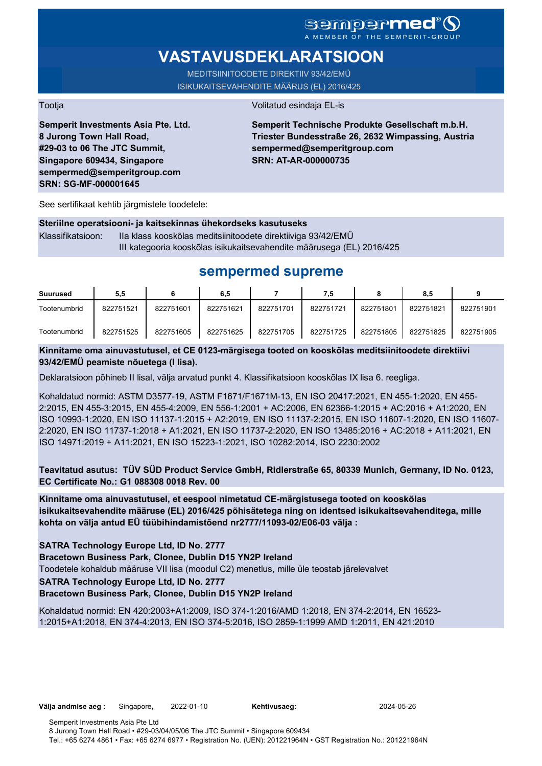## sempermed® A MEMBER OF THE SEMPERIT-GROUP

# **VASTAVUSDEKLARATSIOON**

MEDITSIINITOODETE DIREKTIIV 93/42/EMÜ ISIKUKAITSEVAHENDITE MÄÄRUS (EL) 2016/425

Tootja Volitatud esindaja EL-is

**Semperit Investments Asia Pte. Ltd. 8 Jurong Town Hall Road, #29-03 to 06 The JTC Summit, Singapore 609434, Singapore sempermed@semperitgroup.com SRN: SG-MF-000001645**

### **Semperit Technische Produkte Gesellschaft m.b.H. Triester Bundesstraße 26, 2632 Wimpassing, Austria sempermed@semperitgroup.com SRN: AT-AR-000000735**

See sertifikaat kehtib järgmistele toodetele:

#### **Steriilne operatsiooni- ja kaitsekinnas ühekordseks kasutuseks**

Klassifikatsioon: IIa klass kooskõlas meditsiinitoodete direktiiviga 93/42/EMÜ III kategooria kooskõlas isikukaitsevahendite määrusega (EL) 2016/425

# **sempermed supreme**

| Suurused     | 5,5       |           | 6,5       |           | 7.5       |           | 8,5       |           |
|--------------|-----------|-----------|-----------|-----------|-----------|-----------|-----------|-----------|
| Tootenumbrid | 822751521 | 822751601 | 822751621 | 822751701 | 822751721 | 822751801 | 822751821 | 822751901 |
| Tootenumbrid | 822751525 | 822751605 | 822751625 | 822751705 | 822751725 | 822751805 | 822751825 | 822751905 |

## **Kinnitame oma ainuvastutusel, et CE 0123-märgisega tooted on kooskõlas meditsiinitoodete direktiivi 93/42/EMÜ peamiste nõuetega (I lisa).**

Deklaratsioon põhineb II lisal, välja arvatud punkt 4. Klassifikatsioon kooskõlas IX lisa 6. reegliga.

Kohaldatud normid: ASTM D3577-19, ASTM F1671/F1671M-13, EN ISO 20417:2021, EN 455-1:2020, EN 455- 2:2015, EN 455-3:2015, EN 455-4:2009, EN 556-1:2001 + AC:2006, EN 62366-1:2015 + AC:2016 + A1:2020, EN ISO 10993-1:2020, EN ISO 11137-1:2015 + A2:2019, EN ISO 11137-2:2015, EN ISO 11607-1:2020, EN ISO 11607- 2:2020, EN ISO 11737-1:2018 + A1:2021, EN ISO 11737-2:2020, EN ISO 13485:2016 + AC:2018 + A11:2021, EN ISO 14971:2019 + A11:2021, EN ISO 15223-1:2021, ISO 10282:2014, ISO 2230:2002

**Teavitatud asutus: TÜV SÜD Product Service GmbH, Ridlerstraße 65, 80339 Munich, Germany, ID No. 0123, EC Certificate No.: G1 088308 0018 Rev. 00** 

**Kinnitame oma ainuvastutusel, et eespool nimetatud CE-märgistusega tooted on kooskõlas isikukaitsevahendite määruse (EL) 2016/425 põhisätetega ning on identsed isikukaitsevahenditega, mille kohta on välja antud EÜ tüübihindamistõend nr2777/11093-02/E06-03 välja :**

### **SATRA Technology Europe Ltd, ID No. 2777**

**Bracetown Business Park, Clonee, Dublin D15 YN2P Ireland**

Toodetele kohaldub määruse VII lisa (moodul C2) menetlus, mille üle teostab järelevalvet

### **SATRA Technology Europe Ltd, ID No. 2777**

**Bracetown Business Park, Clonee, Dublin D15 YN2P Ireland**

Kohaldatud normid: EN 420:2003+A1:2009, ISO 374-1:2016/AMD 1:2018, EN 374-2:2014, EN 16523- 1:2015+A1:2018, EN 374-4:2013, EN ISO 374-5:2016, ISO 2859-1:1999 AMD 1:2011, EN 421:2010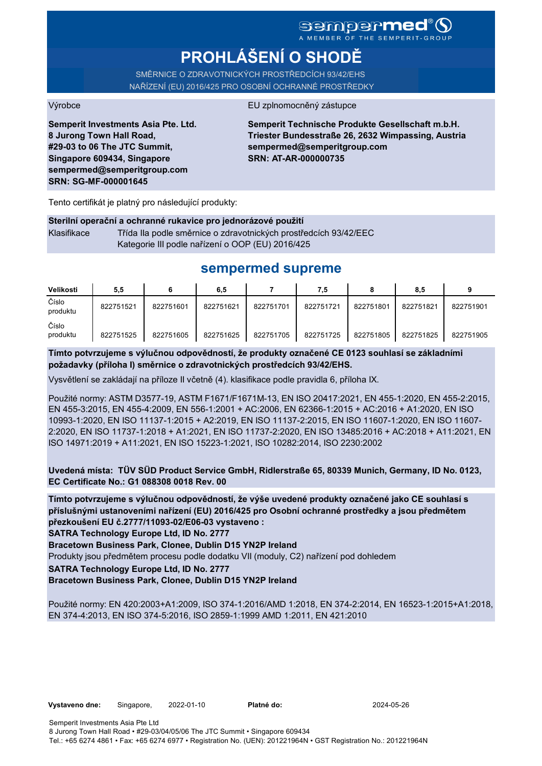# **PROHLÁŠENÍ O SHODĚ**

SMĚRNICE O ZDRAVOTNICKÝCH PROSTŘEDCÍCH 93/42/EHS NAŘÍZENÍ (EU) 2016/425 PRO OSOBNÍ OCHRANNÉ PROSTŘEDKY

Výrobce EU zplnomocněný zástupce

**Semperit Investments Asia Pte. Ltd. 8 Jurong Town Hall Road, #29-03 to 06 The JTC Summit, Singapore 609434, Singapore sempermed@semperitgroup.com SRN: SG-MF-000001645**

**Semperit Technische Produkte Gesellschaft m.b.H. Triester Bundesstraße 26, 2632 Wimpassing, Austria sempermed@semperitgroup.com SRN: AT-AR-000000735**

Tento certifikát je platný pro následující produkty:

### **Sterilní operační a ochranné rukavice pro jednorázové použití**

Klasifikace Třída IIa podle směrnice o zdravotnických prostředcích 93/42/EEC Kategorie III podle nařízení o OOP (EU) 2016/425

# **sempermed supreme**

| Velikosti         | 5,5       |           | 6,5       |           | 7,5       |           | 8,5       |           |
|-------------------|-----------|-----------|-----------|-----------|-----------|-----------|-----------|-----------|
| Číslo<br>produktu | 822751521 | 822751601 | 822751621 | 822751701 | 822751721 | 822751801 | 822751821 | 822751901 |
| Číslo<br>produktu | 822751525 | 822751605 | 822751625 | 822751705 | 822751725 | 822751805 | 822751825 | 822751905 |

**Tímto potvrzujeme s výlučnou odpovědností, že produkty označené CE 0123 souhlasí se základními požadavky (příloha I) směrnice o zdravotnických prostředcích 93/42/EHS.**

Vysvětlení se zakládají na příloze II včetně (4). klasifikace podle pravidla 6, příloha IX.

Použité normy: ASTM D3577-19, ASTM F1671/F1671M-13, EN ISO 20417:2021, EN 455-1:2020, EN 455-2:2015, EN 455-3:2015, EN 455-4:2009, EN 556-1:2001 + AC:2006, EN 62366-1:2015 + AC:2016 + A1:2020, EN ISO 10993-1:2020, EN ISO 11137-1:2015 + A2:2019, EN ISO 11137-2:2015, EN ISO 11607-1:2020, EN ISO 11607- 2:2020, EN ISO 11737-1:2018 + A1:2021, EN ISO 11737-2:2020, EN ISO 13485:2016 + AC:2018 + A11:2021, EN ISO 14971:2019 + A11:2021, EN ISO 15223-1:2021, ISO 10282:2014, ISO 2230:2002

**Uvedená místa: TÜV SÜD Product Service GmbH, Ridlerstraße 65, 80339 Munich, Germany, ID No. 0123, EC Certificate No.: G1 088308 0018 Rev. 00** 

**Tímto potvrzujeme s výlučnou odpovědností, že výše uvedené produkty označené jako CE souhlasí s příslušnými ustanoveními nařízení (EU) 2016/425 pro Osobní ochranné prostředky a jsou předmětem přezkoušení EU č.2777/11093-02/E06-03 vystaveno :**

**SATRA Technology Europe Ltd, ID No. 2777**

**Bracetown Business Park, Clonee, Dublin D15 YN2P Ireland**

Produkty jsou předmětem procesu podle dodatku VII (moduly, C2) nařízení pod dohledem

**SATRA Technology Europe Ltd, ID No. 2777**

**Bracetown Business Park, Clonee, Dublin D15 YN2P Ireland**

Použité normy: EN 420:2003+A1:2009, ISO 374-1:2016/AMD 1:2018, EN 374-2:2014, EN 16523-1:2015+A1:2018, EN 374-4:2013, EN ISO 374-5:2016, ISO 2859-1:1999 AMD 1:2011, EN 421:2010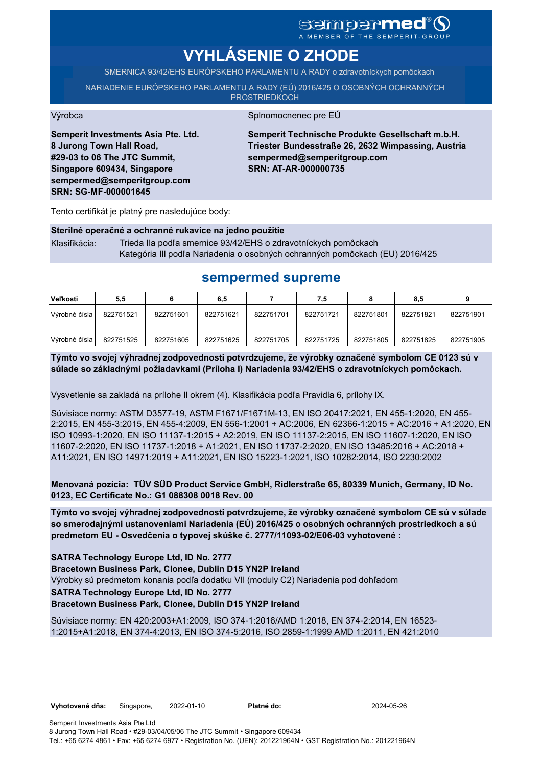# sempermed<sup>®</sup>Q

A MEMBER OF THE SEMPERIT-GROUP

# **VYHLÁSENIE O ZHODE**

SMERNICA 93/42/EHS EURÓPSKEHO PARLAMENTU A RADY o zdravotníckych pomôckach

NARIADENIE EURÓPSKEHO PARLAMENTU A RADY (EÚ) 2016/425 O OSOBNÝCH OCHRANNÝCH PROSTRIEDKOCH

#### Výrobca Splnomocnenec pre EÚ

**Semperit Investments Asia Pte. Ltd. 8 Jurong Town Hall Road, #29-03 to 06 The JTC Summit, Singapore 609434, Singapore sempermed@semperitgroup.com SRN: SG-MF-000001645**

**Semperit Technische Produkte Gesellschaft m.b.H. Triester Bundesstraße 26, 2632 Wimpassing, Austria sempermed@semperitgroup.com SRN: AT-AR-000000735**

Tento certifikát je platný pre nasledujúce body:

## **Sterilné operačné a ochranné rukavice na jedno použitie**

Klasifikácia: Trieda IIa podľa smernice 93/42/EHS o zdravotníckych pomôckach Kategória III podľa Nariadenia o osobných ochranných pomôckach (EU) 2016/425

## **sempermed supreme**

| <b>Veľkosti</b> | 5,5       |           | 6,5       |           | 7,5       |           | 8,5       |           |
|-----------------|-----------|-----------|-----------|-----------|-----------|-----------|-----------|-----------|
| Výrobné čísla   | 822751521 | 822751601 | 822751621 | 822751701 | 822751721 | 822751801 | 822751821 | 822751901 |
| Výrobné čísla l | 822751525 | 822751605 | 822751625 | 822751705 | 822751725 | 822751805 | 822751825 | 822751905 |

**Týmto vo svojej výhradnej zodpovednosti potvrdzujeme, že výrobky označené symbolom CE 0123 sú v súlade so základnými požiadavkami (Príloha I) Nariadenia 93/42/EHS o zdravotníckych pomôckach.**

Vysvetlenie sa zakladá na prílohe II okrem (4). Klasifikácia podľa Pravidla 6, prílohy IX.

Súvisiace normy: ASTM D3577-19, ASTM F1671/F1671M-13, EN ISO 20417:2021, EN 455-1:2020, EN 455- 2:2015, EN 455-3:2015, EN 455-4:2009, EN 556-1:2001 + AC:2006, EN 62366-1:2015 + AC:2016 + A1:2020, EN ISO 10993-1:2020, EN ISO 11137-1:2015 + A2:2019, EN ISO 11137-2:2015, EN ISO 11607-1:2020, EN ISO 11607-2:2020, EN ISO 11737-1:2018 + A1:2021, EN ISO 11737-2:2020, EN ISO 13485:2016 + AC:2018 + A11:2021, EN ISO 14971:2019 + A11:2021, EN ISO 15223-1:2021, ISO 10282:2014, ISO 2230:2002

**Menovaná pozícia: TÜV SÜD Product Service GmbH, Ridlerstraße 65, 80339 Munich, Germany, ID No. 0123, EC Certificate No.: G1 088308 0018 Rev. 00** 

**Týmto vo svojej výhradnej zodpovednosti potvrdzujeme, že výrobky označené symbolom CE sú v súlade so smerodajnými ustanoveniami Nariadenia (EÚ) 2016/425 o osobných ochranných prostriedkoch a sú predmetom EU - Osvedčenia o typovej skúške č. 2777/11093-02/E06-03 vyhotovené :**

**SATRA Technology Europe Ltd, ID No. 2777**

**Bracetown Business Park, Clonee, Dublin D15 YN2P Ireland**

Výrobky sú predmetom konania podľa dodatku VII (moduly C2) Nariadenia pod dohľadom

**SATRA Technology Europe Ltd, ID No. 2777**

**Bracetown Business Park, Clonee, Dublin D15 YN2P Ireland**

Súvisiace normy: EN 420:2003+A1:2009, ISO 374-1:2016/AMD 1:2018, EN 374-2:2014, EN 16523- 1:2015+A1:2018, EN 374-4:2013, EN ISO 374-5:2016, ISO 2859-1:1999 AMD 1:2011, EN 421:2010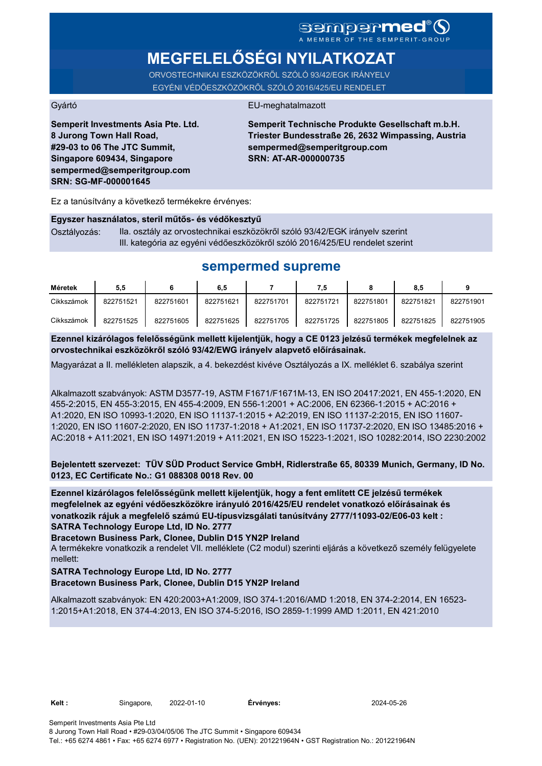# SGMDGPMEd<sup>®</sup>O

# **MEGFELELŐSÉGI NYILATKOZAT**

ORVOSTECHNIKAI ESZKÖZÖKRŐL SZÓLÓ 93/42/EGK IRÁNYELV EGYÉNI VÉDŐESZKÖZÖKRŐL SZÓLÓ 2016/425/EU RENDELET

### Gyártó EU-meghatalmazott

**Semperit Investments Asia Pte. Ltd. 8 Jurong Town Hall Road, #29-03 to 06 The JTC Summit, Singapore 609434, Singapore sempermed@semperitgroup.com SRN: SG-MF-000001645**

**Semperit Technische Produkte Gesellschaft m.b.H. Triester Bundesstraße 26, 2632 Wimpassing, Austria sempermed@semperitgroup.com SRN: AT-AR-000000735**

Ez a tanúsítvány a következő termékekre érvényes:

#### **Egyszer használatos, steril műtős- és védőkesztyű**

Osztályozás: IIa. osztály az orvostechnikai eszközökről szóló 93/42/EGK irányelv szerint III. kategória az egyéni védőeszközökről szóló 2016/425/EU rendelet szerint

# **sempermed supreme**

| Méretek    | 5.5       |           | 6.5       |           | 7,5       |           | 8,5       |           |
|------------|-----------|-----------|-----------|-----------|-----------|-----------|-----------|-----------|
| Cikkszámok | 822751521 | 822751601 | 822751621 | 822751701 | 822751721 | 822751801 | 822751821 | 822751901 |
| Cikkszámok | 822751525 | 822751605 | 822751625 | 822751705 | 822751725 | 822751805 | 822751825 | 822751905 |

**Ezennel kizárólagos felelősségünk mellett kijelentjük, hogy a CE 0123 jelzésű termékek megfelelnek az orvostechnikai eszközökről szóló 93/42/EWG irányelv alapvető előírásainak.**

Magyarázat a II. mellékleten alapszik, a 4. bekezdést kivéve Osztályozás a IX. melléklet 6. szabálya szerint

Alkalmazott szabványok: ASTM D3577-19, ASTM F1671/F1671M-13, EN ISO 20417:2021, EN 455-1:2020, EN 455-2:2015, EN 455-3:2015, EN 455-4:2009, EN 556-1:2001 + AC:2006, EN 62366-1:2015 + AC:2016 + A1:2020, EN ISO 10993-1:2020, EN ISO 11137-1:2015 + A2:2019, EN ISO 11137-2:2015, EN ISO 11607- 1:2020, EN ISO 11607-2:2020, EN ISO 11737-1:2018 + A1:2021, EN ISO 11737-2:2020, EN ISO 13485:2016 + AC:2018 + A11:2021, EN ISO 14971:2019 + A11:2021, EN ISO 15223-1:2021, ISO 10282:2014, ISO 2230:2002

**Bejelentett szervezet: TÜV SÜD Product Service GmbH, Ridlerstraße 65, 80339 Munich, Germany, ID No. 0123, EC Certificate No.: G1 088308 0018 Rev. 00** 

**SATRA Technology Europe Ltd, ID No. 2777 Ezennel kizárólagos felelősségünk mellett kijelentjük, hogy a fent említett CE jelzésű termékek megfelelnek az egyéni védőeszközökre irányuló 2016/425/EU rendelet vonatkozó előírásainak és vonatkozik rájuk a megfelelő számú EU-típusvizsgálati tanúsítvány 2777/11093-02/E06-03 kelt :**

**Bracetown Business Park, Clonee, Dublin D15 YN2P Ireland**

A termékekre vonatkozik a rendelet VII. melléklete (C2 modul) szerinti eljárás a következő személy felügyelete mellett:

#### **SATRA Technology Europe Ltd, ID No. 2777 Bracetown Business Park, Clonee, Dublin D15 YN2P Ireland**

Alkalmazott szabványok: EN 420:2003+A1:2009, ISO 374-1:2016/AMD 1:2018, EN 374-2:2014, EN 16523- 1:2015+A1:2018, EN 374-4:2013, EN ISO 374-5:2016, ISO 2859-1:1999 AMD 1:2011, EN 421:2010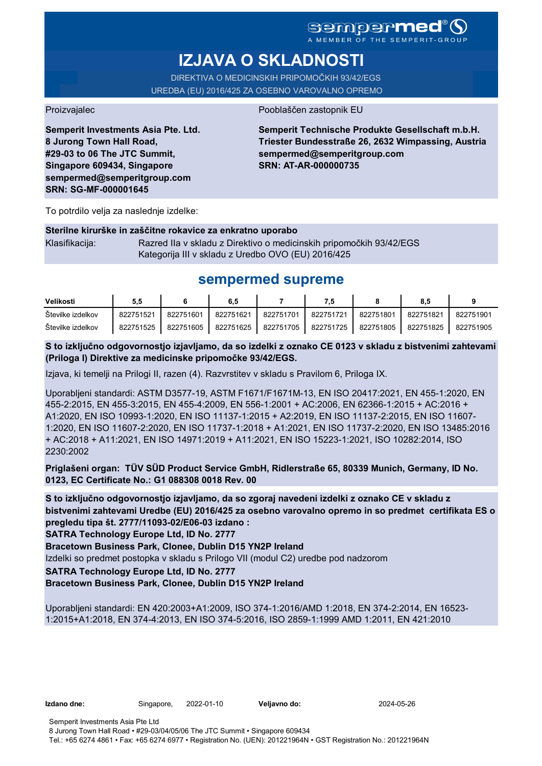A MEMBER OF THE SEMPERIT-GROUP

# **IZJAVA O SKLADNOSTI**

DIREKTIVA O MEDICINSKIH PRIPOMOČKIH 93/42/EGS UREDBA (EU) 2016/425 ZA OSEBNO VAROVALNO OPREMO

Proizvajalec Pooblaščen zastopnik EU

**Semperit Investments Asia Pte. Ltd. 8 Jurong Town Hall Road, #29-03 to 06 The JTC Summit, Singapore 609434, Singapore sempermed@semperitgroup.com SRN: SG-MF-000001645**

### **Semperit Technische Produkte Gesellschaft m.b.H. Triester Bundesstraße 26, 2632 Wimpassing, Austria sempermed@semperitgroup.com SRN: AT-AR-000000735**

To potrdilo velja za naslednje izdelke:

### **Sterilne kirurške in zaščitne rokavice za enkratno uporabo**

Klasifikacija: Razred IIa v skladu z Direktivo o medicinskih pripomočkih 93/42/EGS Kategorija III v skladu z Uredbo OVO (EU) 2016/425

# **sempermed supreme**

| Velikosti         | 5.5       |           | 6,5       |           | 7.5       |           | 8.5       |           |
|-------------------|-----------|-----------|-----------|-----------|-----------|-----------|-----------|-----------|
| Stevilke izdelkov | 822751521 | 822751601 | 822751621 | 822751701 | 822751721 | 822751801 | 822751821 | 822751901 |
| Stevilke izdelkov | 822751525 | 822751605 | 822751625 | 822751705 | 822751725 | 822751805 | 822751825 | 822751905 |

**S to izključno odgovornostjo izjavljamo, da so izdelki z oznako CE 0123 v skladu z bistvenimi zahtevami (Priloga I) Direktive za medicinske pripomočke 93/42/EGS.**

Izjava, ki temelji na Prilogi II, razen (4). Razvrstitev v skladu s Pravilom 6, Priloga IX.

Uporabljeni standardi: ASTM D3577-19, ASTM F1671/F1671M-13, EN ISO 20417:2021, EN 455-1:2020, EN 455-2:2015, EN 455-3:2015, EN 455-4:2009, EN 556-1:2001 + AC:2006, EN 62366-1:2015 + AC:2016 + A1:2020, EN ISO 10993-1:2020, EN ISO 11137-1:2015 + A2:2019, EN ISO 11137-2:2015, EN ISO 11607- 1:2020, EN ISO 11607-2:2020, EN ISO 11737-1:2018 + A1:2021, EN ISO 11737-2:2020, EN ISO 13485:2016 + AC:2018 + A11:2021, EN ISO 14971:2019 + A11:2021, EN ISO 15223-1:2021, ISO 10282:2014, ISO 2230:2002

**Priglašeni organ: TÜV SÜD Product Service GmbH, Ridlerstraße 65, 80339 Munich, Germany, ID No. 0123, EC Certificate No.: G1 088308 0018 Rev. 00** 

**S to izključno odgovornostjo izjavljamo, da so zgoraj navedeni izdelki z oznako CE v skladu z bistvenimi zahtevami Uredbe (EU) 2016/425 za osebno varovalno opremo in so predmet certifikata ES o pregledu tipa št. 2777/11093-02/E06-03 izdano :**

**SATRA Technology Europe Ltd, ID No. 2777**

**Bracetown Business Park, Clonee, Dublin D15 YN2P Ireland**

Izdelki so predmet postopka v skladu s Prilogo VII (modul C2) uredbe pod nadzorom

**SATRA Technology Europe Ltd, ID No. 2777**

**Bracetown Business Park, Clonee, Dublin D15 YN2P Ireland**

Uporabljeni standardi: EN 420:2003+A1:2009, ISO 374-1:2016/AMD 1:2018, EN 374-2:2014, EN 16523- 1:2015+A1:2018, EN 374-4:2013, EN ISO 374-5:2016, ISO 2859-1:1999 AMD 1:2011, EN 421:2010

**Izdano dne:** Singapore, 2022-01-10 **Veljavno do:** 2024-05-26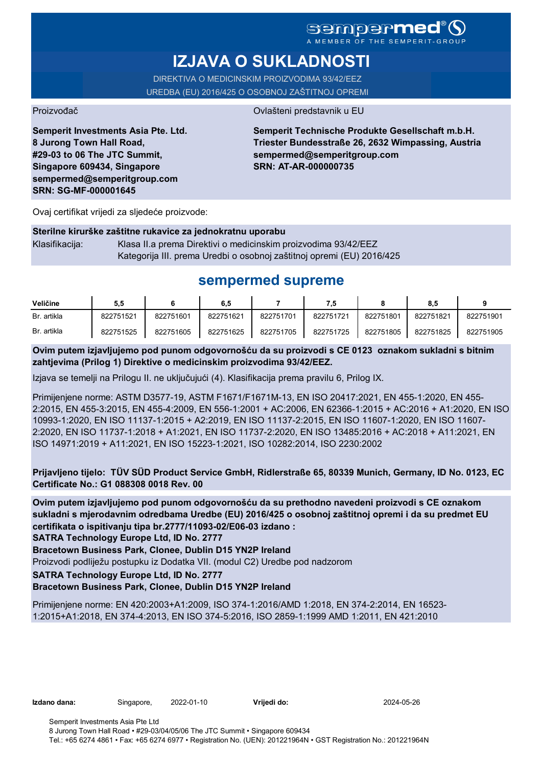## Sempermer A MEMBER OF THE SEMPERIT-GROUP

# **IZJAVA O SUKLADNOSTI**

DIREKTIVA O MEDICINSKIM PROIZVODIMA 93/42/EEZ UREDBA (EU) 2016/425 O OSOBNOJ ZAŠTITNOJ OPREMI

Proizvođač **Ovlašteni predstavnik u EU** 

**Semperit Investments Asia Pte. Ltd. 8 Jurong Town Hall Road, #29-03 to 06 The JTC Summit, Singapore 609434, Singapore sempermed@semperitgroup.com SRN: SG-MF-000001645**

**Semperit Technische Produkte Gesellschaft m.b.H. Triester Bundesstraße 26, 2632 Wimpassing, Austria sempermed@semperitgroup.com SRN: AT-AR-000000735**

Ovaj certifikat vrijedi za sljedeće proizvode:

|                | Sterilne kirurške zaštitne rukavice za jednokratnu uporabu            |
|----------------|-----------------------------------------------------------------------|
| Klasifikacija: | Klasa II.a prema Direktivi o medicinskim proizvodima 93/42/EEZ        |
|                | Kategorija III. prema Uredbi o osobnoj zaštitnoj opremi (EU) 2016/425 |

# **sempermed supreme**

| Veličine    | 5,5       |           | 6,5       |           | 7.5       |           | 8.5       |           |
|-------------|-----------|-----------|-----------|-----------|-----------|-----------|-----------|-----------|
| Br. artikla | 822751521 | 822751601 | 822751621 | 822751701 | 822751721 | 822751801 | 822751821 | 822751901 |
| Br. artikla | 822751525 | 822751605 | 822751625 | 822751705 | 822751725 | 822751805 | 822751825 | 822751905 |

**Ovim putem izjavljujemo pod punom odgovornošću da su proizvodi s CE 0123 oznakom sukladni s bitnim zahtjevima (Prilog 1) Direktive o medicinskim proizvodima 93/42/EEZ.**

Izjava se temelji na Prilogu II. ne uključujući (4). Klasifikacija prema pravilu 6, Prilog IX.

Primijenjene norme: ASTM D3577-19, ASTM F1671/F1671M-13, EN ISO 20417:2021, EN 455-1:2020, EN 455- 2:2015, EN 455-3:2015, EN 455-4:2009, EN 556-1:2001 + AC:2006, EN 62366-1:2015 + AC:2016 + A1:2020, EN ISO 10993-1:2020, EN ISO 11137-1:2015 + A2:2019, EN ISO 11137-2:2015, EN ISO 11607-1:2020, EN ISO 11607- 2:2020, EN ISO 11737-1:2018 + A1:2021, EN ISO 11737-2:2020, EN ISO 13485:2016 + AC:2018 + A11:2021, EN ISO 14971:2019 + A11:2021, EN ISO 15223-1:2021, ISO 10282:2014, ISO 2230:2002

**Prijavljeno tijelo: TÜV SÜD Product Service GmbH, Ridlerstraße 65, 80339 Munich, Germany, ID No. 0123, EC Certificate No.: G1 088308 0018 Rev. 00** 

**Ovim putem izjavljujemo pod punom odgovornošću da su prethodno navedeni proizvodi s CE oznakom sukladni s mjerodavnim odredbama Uredbe (EU) 2016/425 o osobnoj zaštitnoj opremi i da su predmet EU certifikata o ispitivanju tipa br.2777/11093-02/E06-03 izdano :**

**SATRA Technology Europe Ltd, ID No. 2777**

**Bracetown Business Park, Clonee, Dublin D15 YN2P Ireland**

Proizvodi podliježu postupku iz Dodatka VII. (modul C2) Uredbe pod nadzorom

**SATRA Technology Europe Ltd, ID No. 2777**

**Bracetown Business Park, Clonee, Dublin D15 YN2P Ireland**

Primijenjene norme: EN 420:2003+A1:2009, ISO 374-1:2016/AMD 1:2018, EN 374-2:2014, EN 16523- 1:2015+A1:2018, EN 374-4:2013, EN ISO 374-5:2016, ISO 2859-1:1999 AMD 1:2011, EN 421:2010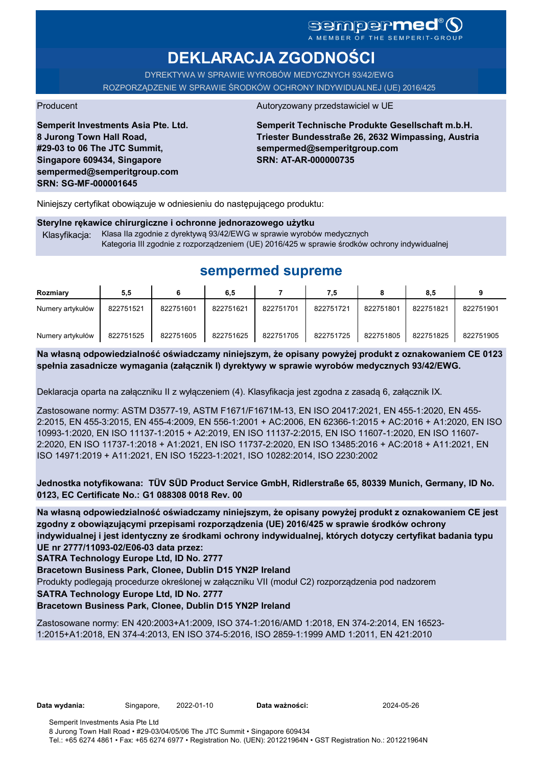## **Sempermed** - U<br>EMBER OF THE SEMPERIT-GROUP

# **DEKLARACJA ZGODNOŚCI**

DYREKTYWA W SPRAWIE WYROBÓW MEDYCZNYCH 93/42/EWG ROZPORZĄDZENIE W SPRAWIE ŚRODKÓW OCHRONY INDYWIDUALNEJ (UE) 2016/425

**Semperit Investments Asia Pte. Ltd. 8 Jurong Town Hall Road, #29-03 to 06 The JTC Summit, Singapore 609434, Singapore sempermed@semperitgroup.com SRN: SG-MF-000001645**

### Producent Autoryzowany przedstawiciel w UE

**Semperit Technische Produkte Gesellschaft m.b.H. Triester Bundesstraße 26, 2632 Wimpassing, Austria sempermed@semperitgroup.com SRN: AT-AR-000000735**

Niniejszy certyfikat obowiązuje w odniesieniu do następującego produktu:

# **Sterylne rękawice chirurgiczne i ochronne jednorazowego użytku**

Klasyfikacja: Klasa IIa zgodnie z dyrektywą 93/42/EWG w sprawie wyrobów medycznych Kategoria III zgodnie z rozporządzeniem (UE) 2016/425 w sprawie środków ochrony indywidualnej

# **sempermed supreme**

| Rozmiary         | 5,5       |           | 6.5       |           | 7,5       |           | 8.5       |           |
|------------------|-----------|-----------|-----------|-----------|-----------|-----------|-----------|-----------|
| Numery artykułów | 822751521 | 822751601 | 822751621 | 822751701 | 822751721 | 822751801 | 822751821 | 822751901 |
| Numery artykułów | 822751525 | 822751605 | 822751625 | 822751705 | 822751725 | 822751805 | 822751825 | 822751905 |

**Na własną odpowiedzialność oświadczamy niniejszym, że opisany powyżej produkt z oznakowaniem CE 0123 spełnia zasadnicze wymagania (załącznik I) dyrektywy w sprawie wyrobów medycznych 93/42/EWG.**

Deklaracja oparta na załączniku II z wyłączeniem (4). Klasyfikacja jest zgodna z zasadą 6, załącznik IX.

Zastosowane normy: ASTM D3577-19, ASTM F1671/F1671M-13, EN ISO 20417:2021, EN 455-1:2020, EN 455- 2:2015, EN 455-3:2015, EN 455-4:2009, EN 556-1:2001 + AC:2006, EN 62366-1:2015 + AC:2016 + A1:2020, EN ISO 10993-1:2020, EN ISO 11137-1:2015 + A2:2019, EN ISO 11137-2:2015, EN ISO 11607-1:2020, EN ISO 11607- 2:2020, EN ISO 11737-1:2018 + A1:2021, EN ISO 11737-2:2020, EN ISO 13485:2016 + AC:2018 + A11:2021, EN ISO 14971:2019 + A11:2021, EN ISO 15223-1:2021, ISO 10282:2014, ISO 2230:2002

**Jednostka notyfikowana: TÜV SÜD Product Service GmbH, Ridlerstraße 65, 80339 Munich, Germany, ID No. 0123, EC Certificate No.: G1 088308 0018 Rev. 00** 

**Na własną odpowiedzialność oświadczamy niniejszym, że opisany powyżej produkt z oznakowaniem CE jest zgodny z obowiązującymi przepisami rozporządzenia (UE) 2016/425 w sprawie środków ochrony indywidualnej i jest identyczny ze środkami ochrony indywidualnej, których dotyczy certyfikat badania typu UE nr 2777/11093-02/E06-03 data przez:**

**SATRA Technology Europe Ltd, ID No. 2777**

**Bracetown Business Park, Clonee, Dublin D15 YN2P Ireland**

Produkty podlegają procedurze określonej w załączniku VII (moduł C2) rozporządzenia pod nadzorem

**SATRA Technology Europe Ltd, ID No. 2777**

### **Bracetown Business Park, Clonee, Dublin D15 YN2P Ireland**

Zastosowane normy: EN 420:2003+A1:2009, ISO 374-1:2016/AMD 1:2018, EN 374-2:2014, EN 16523- 1:2015+A1:2018, EN 374-4:2013, EN ISO 374-5:2016, ISO 2859-1:1999 AMD 1:2011, EN 421:2010

**Data wydania:** Singapore, 2022-01-10 **Data ważności:** 2024-05-26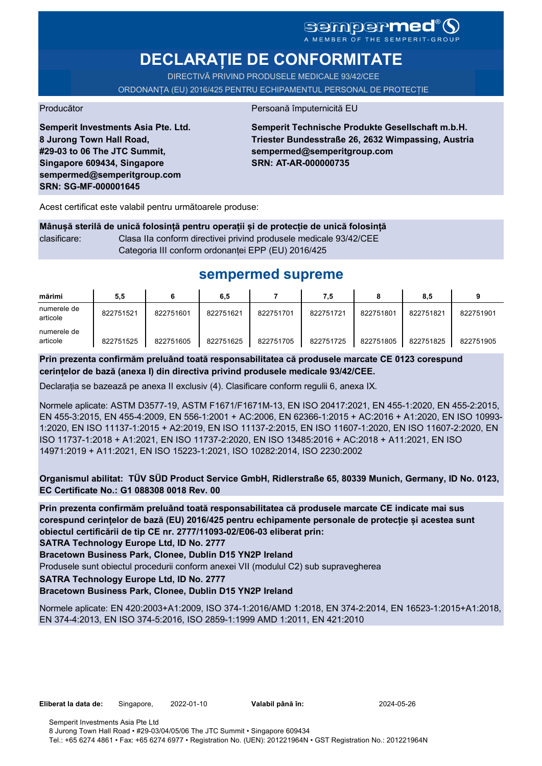# SGMDGPMEd<sup>®</sup>O

# **DECLARAȚIE DE CONFORMITATE**

DIRECTIVĂ PRIVIND PRODUSELE MEDICALE 93/42/CEE ORDONANȚA (EU) 2016/425 PENTRU ECHIPAMENTUL PERSONAL DE PROTECȚIE

Producător Persoană împuternicită EU

**Semperit Investments Asia Pte. Ltd. 8 Jurong Town Hall Road, #29-03 to 06 The JTC Summit, Singapore 609434, Singapore sempermed@semperitgroup.com SRN: SG-MF-000001645**

**Semperit Technische Produkte Gesellschaft m.b.H. Triester Bundesstraße 26, 2632 Wimpassing, Austria sempermed@semperitgroup.com SRN: AT-AR-000000735**

Acest certificat este valabil pentru următoarele produse:

**Mânușă sterilă de unică folosință pentru operații și de protecție de unică folosință** clasificare: Clasa IIa conform directivei privind produsele medicale 93/42/CEE Categoria III conform ordonanței EPP (EU) 2016/425

# **sempermed supreme**

| mărimi                  | 5,5       |           | 6,5       |           | 7.5       |           | 8.5       |           |
|-------------------------|-----------|-----------|-----------|-----------|-----------|-----------|-----------|-----------|
| numerele de<br>articole | 822751521 | 822751601 | 822751621 | 822751701 | 822751721 | 822751801 | 822751821 | 822751901 |
| numerele de<br>articole | 822751525 | 822751605 | 822751625 | 822751705 | 822751725 | 822751805 | 822751825 | 822751905 |

**Prin prezenta confirmăm preluând toată responsabilitatea că produsele marcate CE 0123 corespund cerințelor de bază (anexa I) din directiva privind produsele medicale 93/42/CEE.**

Declarația se bazează pe anexa II exclusiv (4). Clasificare conform regulii 6, anexa IX.

Normele aplicate: ASTM D3577-19, ASTM F1671/F1671M-13, EN ISO 20417:2021, EN 455-1:2020, EN 455-2:2015, EN 455-3:2015, EN 455-4:2009, EN 556-1:2001 + AC:2006, EN 62366-1:2015 + AC:2016 + A1:2020, EN ISO 10993- 1:2020, EN ISO 11137-1:2015 + A2:2019, EN ISO 11137-2:2015, EN ISO 11607-1:2020, EN ISO 11607-2:2020, EN ISO 11737-1:2018 + A1:2021, EN ISO 11737-2:2020, EN ISO 13485:2016 + AC:2018 + A11:2021, EN ISO 14971:2019 + A11:2021, EN ISO 15223-1:2021, ISO 10282:2014, ISO 2230:2002

**Organismul abilitat: TÜV SÜD Product Service GmbH, Ridlerstraße 65, 80339 Munich, Germany, ID No. 0123, EC Certificate No.: G1 088308 0018 Rev. 00** 

**Prin prezenta confirmăm preluând toată responsabilitatea că produsele marcate CE indicate mai sus corespund cerințelor de bază (EU) 2016/425 pentru echipamente personale de protecție și acestea sunt obiectul certificării de tip CE nr. 2777/11093-02/E06-03 eliberat prin:**

**SATRA Technology Europe Ltd, ID No. 2777**

**Bracetown Business Park, Clonee, Dublin D15 YN2P Ireland**

Produsele sunt obiectul procedurii conform anexei VII (modulul C2) sub supravegherea

**SATRA Technology Europe Ltd, ID No. 2777**

**Bracetown Business Park, Clonee, Dublin D15 YN2P Ireland**

Normele aplicate: EN 420:2003+A1:2009, ISO 374-1:2016/AMD 1:2018, EN 374-2:2014, EN 16523-1:2015+A1:2018, EN 374-4:2013, EN ISO 374-5:2016, ISO 2859-1:1999 AMD 1:2011, EN 421:2010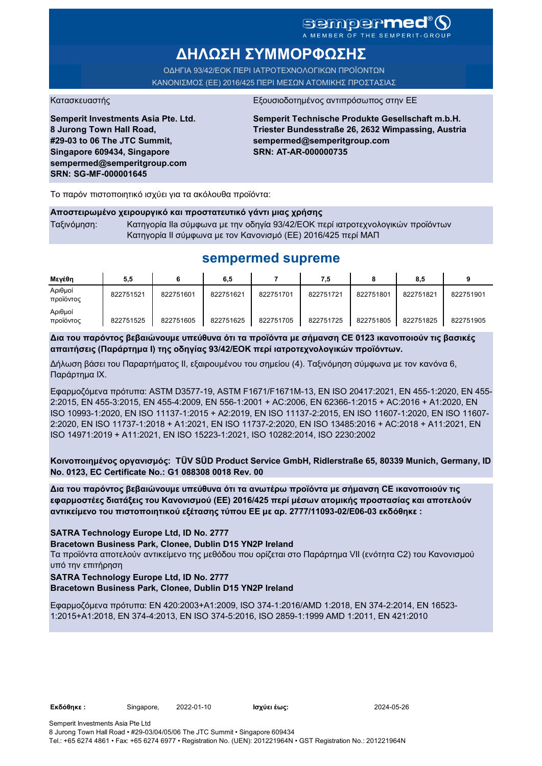# sempermed<sup>®</sup>(S

A MEMBER OF THE SEMPERI

# **ΔΗΛΩΣΗ ΣΥΜΜΟΡΦΩΣΗΣ**

ΟΔΗΓΙΑ 93/42/ΕΟΚ ΠΕΡΙ ΙΑΤΡΟΤΕΧΝΟΛΟΓΙΚΩΝ ΠΡΟΪΟΝΤΩΝ ΚΑΝΟΝΙΣΜΟΣ (ΕΕ) 2016/425 ΠΕΡΙ ΜΕΣΩΝ ΑΤΟΜΙΚΗΣ ΠΡΟΣΤΑΣΙΑΣ

**Semperit Investments Asia Pte. Ltd. 8 Jurong Town Hall Road, #29-03 to 06 The JTC Summit, Singapore 609434, Singapore sempermed@semperitgroup.com SRN: SG-MF-000001645**

#### Κατασκευαστής Εξουσιοδοτημένος αντιπρόσωπος στην ΕΕ

**Semperit Technische Produkte Gesellschaft m.b.H. Triester Bundesstraße 26, 2632 Wimpassing, Austria sempermed@semperitgroup.com SRN: AT-AR-000000735**

Το παρόν πιστοποιητικό ισχύει για τα ακόλουθα προϊόντα:

#### **Αποστειρωμένο χειρουργικό και προστατευτικό γάντι μιας χρήσης**

Ταξινόμηση: Κατηγορία IIa σύμφωνα με την οδηγία 93/42/ΕΟΚ περί ιατροτεχνολογικών προϊόντων Κατηγορία II σύμφωνα με τον Κανονισμό (ΕΕ) 2016/425 περί ΜΑΠ

# **sempermed supreme**

| Μενέθη               | 5,5       |           | 6,5       |           | 7.5       |           | 8,5       |           |
|----------------------|-----------|-----------|-----------|-----------|-----------|-----------|-----------|-----------|
| Αριθμοί<br>προϊόντος | 822751521 | 822751601 | 822751621 | 822751701 | 822751721 | 822751801 | 822751821 | 822751901 |
| Αριθμοί<br>προϊόντος | 822751525 | 822751605 | 822751625 | 822751705 | 822751725 | 822751805 | 822751825 | 822751905 |

**Δια του παρόντος βεβαιώνουμε υπεύθυνα ότι τα προϊόντα με σήμανση CE 0123 ικανοποιούν τις βασικές απαιτήσεις (Παράρτημα I) της οδηγίας 93/42/ΕΟΚ περί ιατροτεχνολογικών προϊόντων.**

Δήλωση βάσει του Παραρτήματος II, εξαιρουμένου του σημείου (4). Ταξινόμηση σύμφωνα με τον κανόνα 6, Παράρτημα IX.

Εφαρμοζόμενα πρότυπα: ASTM D3577-19, ASTM F1671/F1671M-13, EN ISO 20417:2021, EN 455-1:2020, EN 455- 2:2015, EN 455-3:2015, EN 455-4:2009, EN 556-1:2001 + AC:2006, EN 62366-1:2015 + AC:2016 + A1:2020, EN ISO 10993-1:2020, EN ISO 11137-1:2015 + A2:2019, EN ISO 11137-2:2015, EN ISO 11607-1:2020, EN ISO 11607- 2:2020, EN ISO 11737-1:2018 + A1:2021, EN ISO 11737-2:2020, EN ISO 13485:2016 + AC:2018 + A11:2021, EN ISO 14971:2019 + A11:2021, EN ISO 15223-1:2021, ISO 10282:2014, ISO 2230:2002

**Κοινοποιημένος οργανισμός: TÜV SÜD Product Service GmbH, Ridlerstraße 65, 80339 Munich, Germany, ID No. 0123, EC Certificate No.: G1 088308 0018 Rev. 00** 

**Δια του παρόντος βεβαιώνουμε υπεύθυνα ότι τα ανωτέρω προϊόντα με σήμανση CE ικανοποιούν τις εφαρμοστέες διατάξεις του Κανονισμού (ΕΕ) 2016/425 περί μέσων ατομικής προστασίας και αποτελούν αντικείμενο του πιστοποιητικού εξέτασης τύπου ΕΕ με αρ. 2777/11093-02/E06-03 εκδόθηκε :**

**SATRA Technology Europe Ltd, ID No. 2777**

#### **Bracetown Business Park, Clonee, Dublin D15 YN2P Ireland**

Τα προϊόντα αποτελούν αντικείμενο της μεθόδου που ορίζεται στο Παράρτημα VII (ενότητα C2) του Κανονισμού υπό την επιτήρηση

**SATRA Technology Europe Ltd, ID No. 2777**

**Bracetown Business Park, Clonee, Dublin D15 YN2P Ireland**

Εφαρμοζόμενα πρότυπα: EN 420:2003+A1:2009, ISO 374-1:2016/AMD 1:2018, EN 374-2:2014, EN 16523- 1:2015+A1:2018, EN 374-4:2013, EN ISO 374-5:2016, ISO 2859-1:1999 AMD 1:2011, EN 421:2010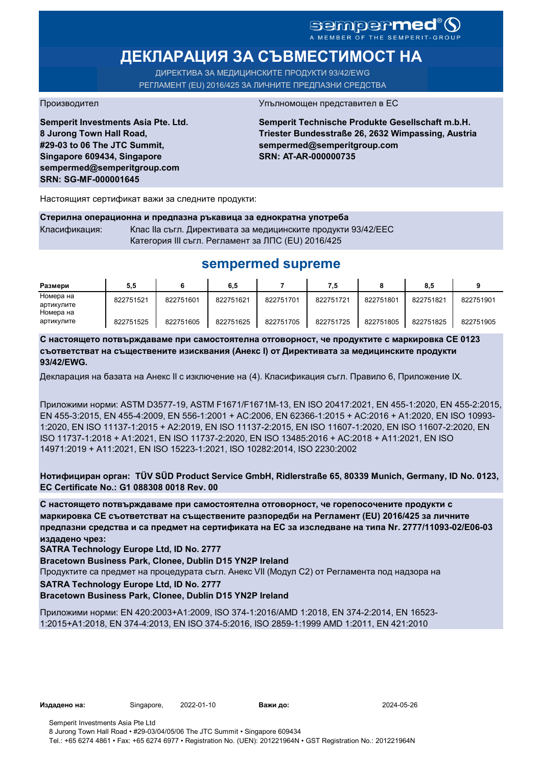## sempermed<sup>®</sup> Q A MEMBER OF THE SEMPERIT-GROUP

# **ДЕКЛАРАЦИЯ ЗА СЪВМЕСТИМОСТ НА**

ДИРЕКТИВА ЗА МЕДИЦИНСКИТЕ ПРОДУКТИ 93/42/EWG РЕГЛАМЕНТ (EU) 2016/425 ЗА ЛИЧНИТЕ ПРЕДПАЗНИ СРЕДСТВА

**Semperit Investments Asia Pte. Ltd. 8 Jurong Town Hall Road, #29-03 to 06 The JTC Summit, Singapore 609434, Singapore sempermed@semperitgroup.com SRN: SG-MF-000001645**

#### Производител Упълномощен представител в ЕС

**Semperit Technische Produkte Gesellschaft m.b.H. Triester Bundesstraße 26, 2632 Wimpassing, Austria sempermed@semperitgroup.com SRN: AT-AR-000000735**

Настоящият сертификат важи за следните продукти:

| Стерилна операционна и предпазна ръкавица за еднократна употреба |                                                               |  |  |  |  |  |
|------------------------------------------------------------------|---------------------------------------------------------------|--|--|--|--|--|
| Класификация:                                                    | Клас IIa съгл. Директивата за медицинските продукти 93/42/EEC |  |  |  |  |  |
|                                                                  | Категория III съгл. Регламент за ЛПС (EU) 2016/425            |  |  |  |  |  |

# **sempermed supreme**

| Размери    | 5.5       |           | 6.5       |           | 7.5       |           | 8.5       |           |
|------------|-----------|-----------|-----------|-----------|-----------|-----------|-----------|-----------|
| Номера на  | 822751521 | 822751601 | 822751621 | 822751701 | 822751721 | 822751801 | 822751821 | 822751901 |
| артикулите |           |           |           |           |           |           |           |           |
| Номера на  |           |           |           |           |           |           |           |           |
| артикулите | 822751525 | 822751605 | 822751625 | 822751705 | 822751725 | 822751805 | 822751825 | 822751905 |

**С настоящето потвърждаваме при самостоятелна отговорност, че продуктите с маркировка СЕ 0123 съответстват на съществените изисквания (Анекс I) от Директивата за медицинските продукти 93/42/EWG.**

Декларация на базата на Анекс II с изключение на (4). Класификация съгл. Правило 6, Приложение IX.

Приложими норми: ASTM D3577-19, ASTM F1671/F1671M-13, EN ISO 20417:2021, EN 455-1:2020, EN 455-2:2015, EN 455-3:2015, EN 455-4:2009, EN 556-1:2001 + AC:2006, EN 62366-1:2015 + AC:2016 + A1:2020, EN ISO 10993- 1:2020, EN ISO 11137-1:2015 + A2:2019, EN ISO 11137-2:2015, EN ISO 11607-1:2020, EN ISO 11607-2:2020, EN ISO 11737-1:2018 + A1:2021, EN ISO 11737-2:2020, EN ISO 13485:2016 + AC:2018 + A11:2021, EN ISO 14971:2019 + A11:2021, EN ISO 15223-1:2021, ISO 10282:2014, ISO 2230:2002

**Нотифициран орган: TÜV SÜD Product Service GmbH, Ridlerstraße 65, 80339 Munich, Germany, ID No. 0123, EC Certificate No.: G1 088308 0018 Rev. 00** 

**С настоящето потвърждаваме при самостоятелна отговорност, че горепосочените продукти с маркировка СЕ съответстват на съществените разпоредби на Регламент (EU) 2016/425 за личните предпазни средства и са предмет на сертификата на ЕС за изследване на типа Nr. 2777/11093-02/E06-03 издадено чрез:**

**SATRA Technology Europe Ltd, ID No. 2777**

**Bracetown Business Park, Clonee, Dublin D15 YN2P Ireland**

Продуктите са предмет на процедурата съгл. Анекс VII (Модул С2) от Регламента под надзора на

**SATRA Technology Europe Ltd, ID No. 2777**

**Bracetown Business Park, Clonee, Dublin D15 YN2P Ireland**

Приложими норми: EN 420:2003+A1:2009, ISO 374-1:2016/AMD 1:2018, EN 374-2:2014, EN 16523- 1:2015+A1:2018, EN 374-4:2013, EN ISO 374-5:2016, ISO 2859-1:1999 AMD 1:2011, EN 421:2010

**Издадено на:** Singapore, 2022-01-10 **Важи до:** 2024-05-26